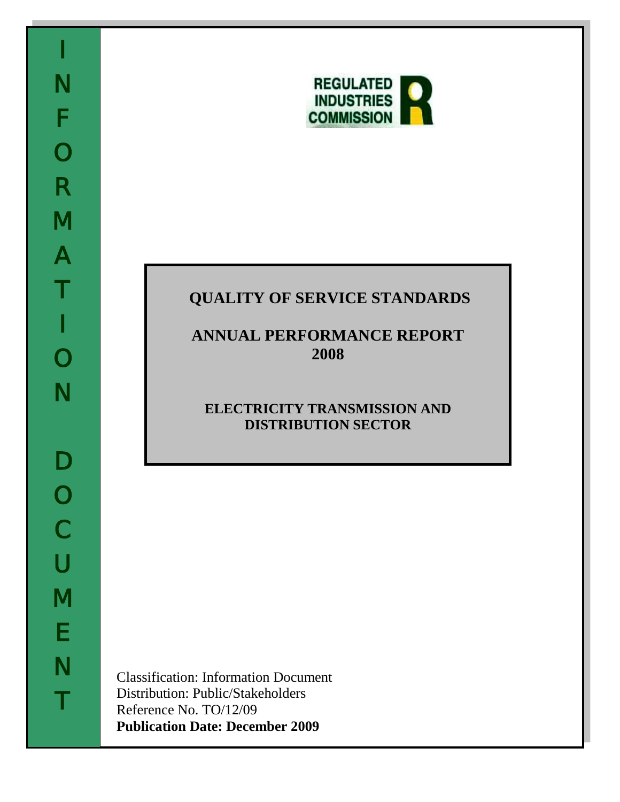

# **QUALITY OF SERVICE STANDARDS**

# **ANNUAL PERFORMANCE REPORT 2008**

# **ELECTRICITY TRANSMISSION AND DISTRIBUTION SECTOR**

Classification: Information Document Distribution: Public/Stakeholders Reference No. TO/12/09 **Publication Date: December 2009**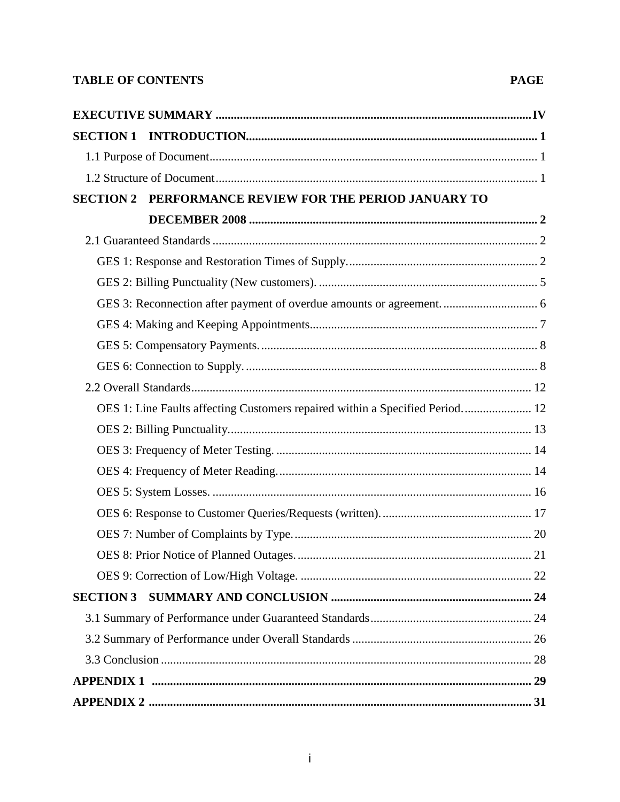## **TABLE OF CONTENTS**

| <b>SECTION 2</b> | PERFORMANCE REVIEW FOR THE PERIOD JANUARY TO                                 |  |
|------------------|------------------------------------------------------------------------------|--|
|                  |                                                                              |  |
|                  |                                                                              |  |
|                  |                                                                              |  |
|                  |                                                                              |  |
|                  |                                                                              |  |
|                  |                                                                              |  |
|                  |                                                                              |  |
|                  |                                                                              |  |
|                  |                                                                              |  |
|                  | OES 1: Line Faults affecting Customers repaired within a Specified Period 12 |  |
|                  |                                                                              |  |
|                  |                                                                              |  |
|                  |                                                                              |  |
|                  |                                                                              |  |
|                  |                                                                              |  |
|                  |                                                                              |  |
|                  |                                                                              |  |
|                  |                                                                              |  |
|                  |                                                                              |  |
|                  |                                                                              |  |
|                  |                                                                              |  |
|                  |                                                                              |  |
|                  |                                                                              |  |
|                  |                                                                              |  |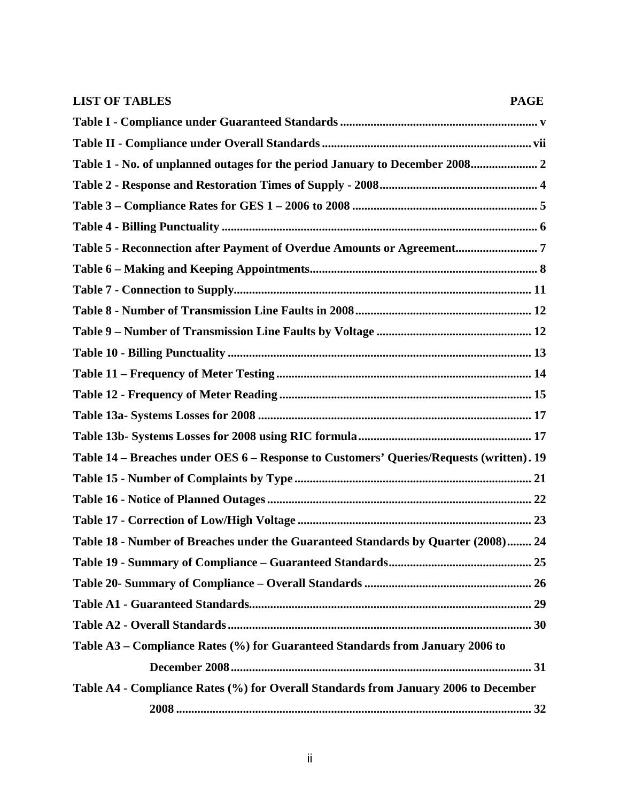| <b>LIST OF TABLES</b><br><b>PAGE</b>                                                    |
|-----------------------------------------------------------------------------------------|
|                                                                                         |
|                                                                                         |
| Table 1 - No. of unplanned outages for the period January to December 2008 2            |
|                                                                                         |
|                                                                                         |
|                                                                                         |
| Table 5 - Reconnection after Payment of Overdue Amounts or Agreement7                   |
|                                                                                         |
|                                                                                         |
|                                                                                         |
|                                                                                         |
|                                                                                         |
|                                                                                         |
|                                                                                         |
|                                                                                         |
|                                                                                         |
| Table 14 - Breaches under OES 6 - Response to Customers' Queries/Requests (written). 19 |
|                                                                                         |
|                                                                                         |
|                                                                                         |
| Table 18 - Number of Breaches under the Guaranteed Standards by Quarter (2008) 24       |
|                                                                                         |
|                                                                                         |
|                                                                                         |
|                                                                                         |
| Table A3 - Compliance Rates (%) for Guaranteed Standards from January 2006 to           |
|                                                                                         |
| Table A4 - Compliance Rates (%) for Overall Standards from January 2006 to December     |
|                                                                                         |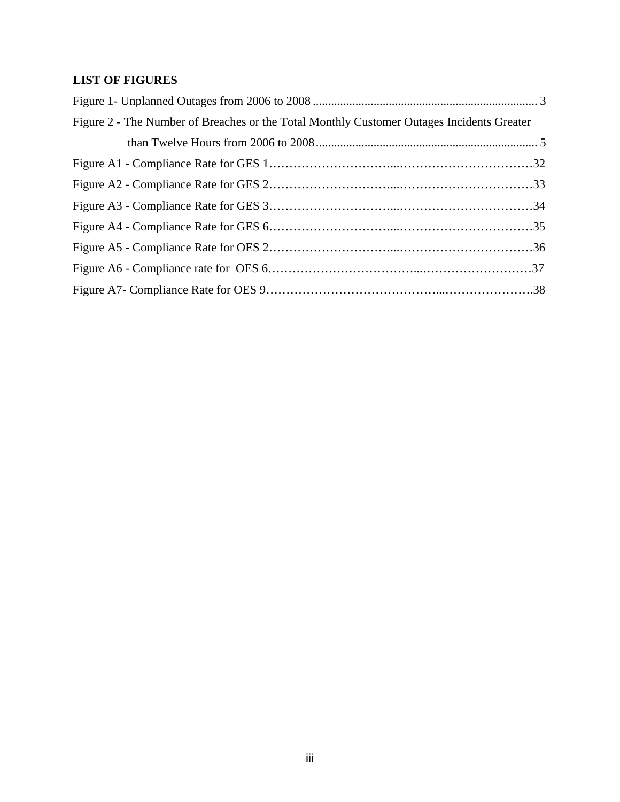# **LIST OF FIGURES**

| Figure 2 - The Number of Breaches or the Total Monthly Customer Outages Incidents Greater |  |
|-------------------------------------------------------------------------------------------|--|
|                                                                                           |  |
|                                                                                           |  |
|                                                                                           |  |
|                                                                                           |  |
|                                                                                           |  |
|                                                                                           |  |
|                                                                                           |  |
|                                                                                           |  |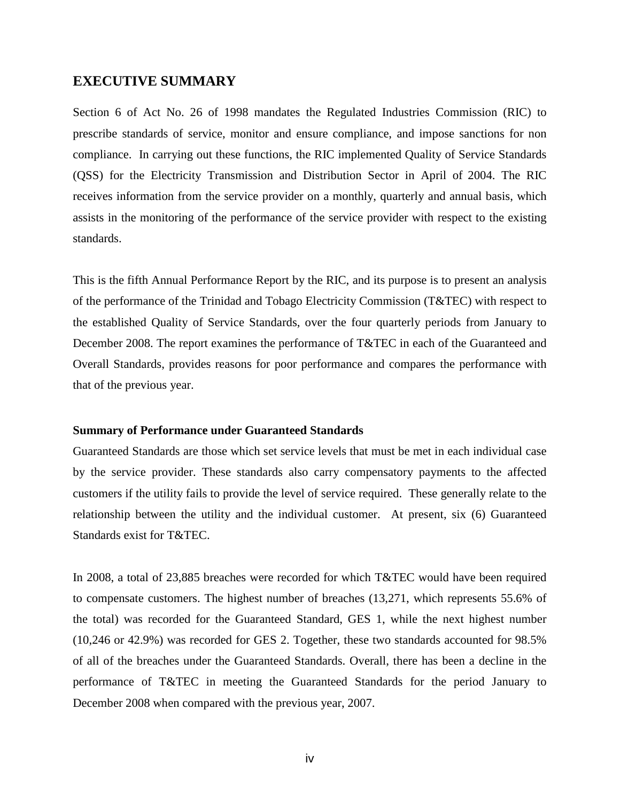### <span id="page-4-0"></span>**EXECUTIVE SUMMARY**

Section 6 of Act No. 26 of 1998 mandates the Regulated Industries Commission (RIC) to prescribe standards of service, monitor and ensure compliance, and impose sanctions for non compliance. In carrying out these functions, the RIC implemented Quality of Service Standards (QSS) for the Electricity Transmission and Distribution Sector in April of 2004. The RIC receives information from the service provider on a monthly, quarterly and annual basis, which assists in the monitoring of the performance of the service provider with respect to the existing standards.

This is the fifth Annual Performance Report by the RIC, and its purpose is to present an analysis of the performance of the Trinidad and Tobago Electricity Commission (T&TEC) with respect to the established Quality of Service Standards, over the four quarterly periods from January to December 2008. The report examines the performance of T&TEC in each of the Guaranteed and Overall Standards, provides reasons for poor performance and compares the performance with that of the previous year.

#### **Summary of Performance under Guaranteed Standards**

Guaranteed Standards are those which set service levels that must be met in each individual case by the service provider. These standards also carry compensatory payments to the affected customers if the utility fails to provide the level of service required. These generally relate to the relationship between the utility and the individual customer. At present, six (6) Guaranteed Standards exist for T&TEC.

In 2008, a total of 23,885 breaches were recorded for which T&TEC would have been required to compensate customers. The highest number of breaches (13,271, which represents 55.6% of the total) was recorded for the Guaranteed Standard, GES 1, while the next highest number (10,246 or 42.9%) was recorded for GES 2. Together, these two standards accounted for 98.5% of all of the breaches under the Guaranteed Standards. Overall, there has been a decline in the performance of T&TEC in meeting the Guaranteed Standards for the period January to December 2008 when compared with the previous year, 2007.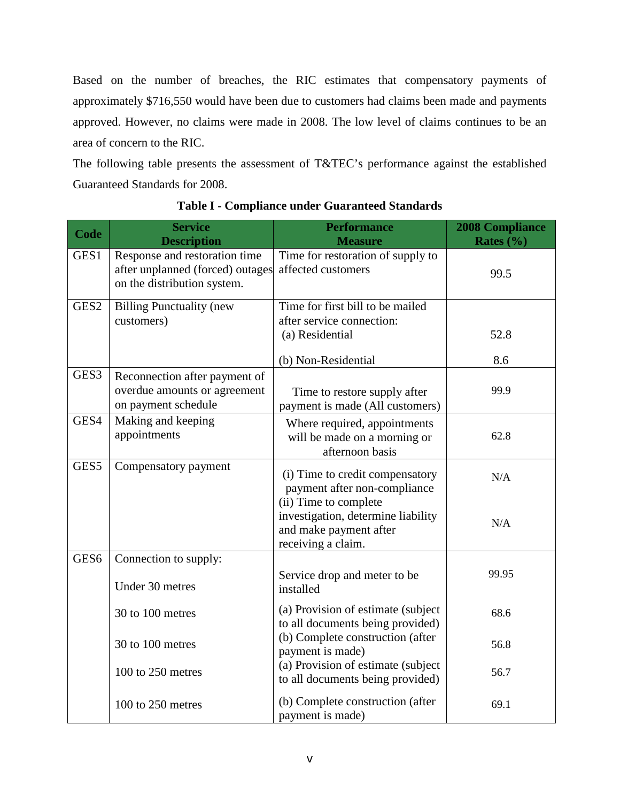Based on the number of breaches, the RIC estimates that compensatory payments of approximately \$716,550 would have been due to customers had claims been made and payments approved. However, no claims were made in 2008. The low level of claims continues to be an area of concern to the RIC.

The following table presents the assessment of T&TEC's performance against the established Guaranteed Standards for 2008.

<span id="page-5-0"></span>

| Code             | <b>Service</b><br><b>Description</b>                                                             | <b>Performance</b><br><b>Measure</b>                                                                        | <b>2008 Compliance</b><br>Rates $(\% )$ |
|------------------|--------------------------------------------------------------------------------------------------|-------------------------------------------------------------------------------------------------------------|-----------------------------------------|
| GES1             | Response and restoration time<br>after unplanned (forced) outages<br>on the distribution system. | Time for restoration of supply to<br>affected customers                                                     | 99.5                                    |
| GES <sub>2</sub> | <b>Billing Punctuality (new</b><br>customers)                                                    | Time for first bill to be mailed<br>after service connection:<br>(a) Residential                            | 52.8                                    |
|                  |                                                                                                  | (b) Non-Residential                                                                                         | 8.6                                     |
| GES3             | Reconnection after payment of<br>overdue amounts or agreement<br>on payment schedule             | Time to restore supply after<br>payment is made (All customers)                                             | 99.9                                    |
| GES4             | Making and keeping<br>appointments                                                               | Where required, appointments<br>will be made on a morning or<br>afternoon basis                             | 62.8                                    |
| GES5             | Compensatory payment                                                                             | (i) Time to credit compensatory<br>payment after non-compliance                                             | N/A                                     |
|                  |                                                                                                  | (ii) Time to complete<br>investigation, determine liability<br>and make payment after<br>receiving a claim. | N/A                                     |
| GES <sub>6</sub> | Connection to supply:                                                                            |                                                                                                             |                                         |
|                  | Under 30 metres                                                                                  | Service drop and meter to be<br>installed                                                                   | 99.95                                   |
|                  | 30 to 100 metres                                                                                 | (a) Provision of estimate (subject)<br>to all documents being provided)                                     | 68.6                                    |
|                  | 30 to 100 metres                                                                                 | (b) Complete construction (after<br>payment is made)                                                        | 56.8                                    |
|                  | 100 to 250 metres                                                                                | (a) Provision of estimate (subject<br>to all documents being provided)                                      | 56.7                                    |
|                  | 100 to 250 metres                                                                                | (b) Complete construction (after<br>payment is made)                                                        | 69.1                                    |

**Table I - Compliance under Guaranteed Standards**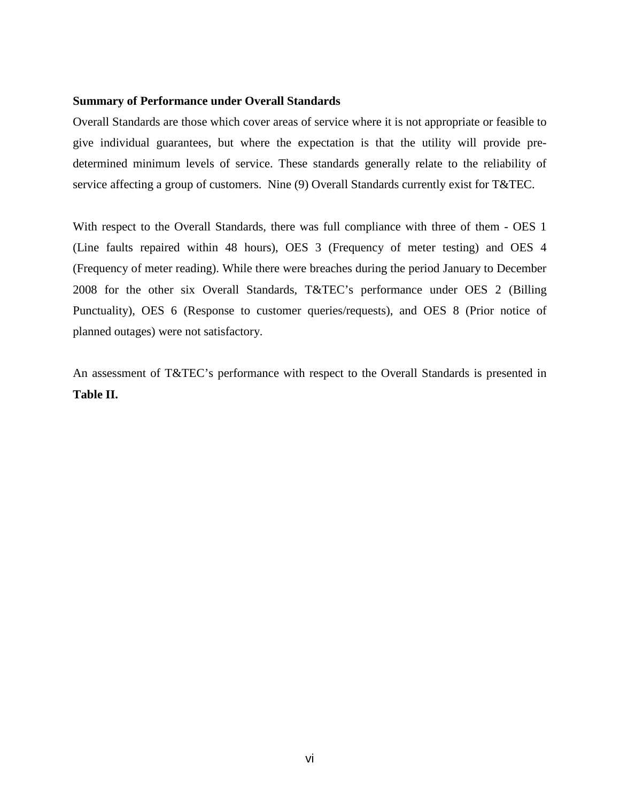#### **Summary of Performance under Overall Standards**

Overall Standards are those which cover areas of service where it is not appropriate or feasible to give individual guarantees, but where the expectation is that the utility will provide predetermined minimum levels of service. These standards generally relate to the reliability of service affecting a group of customers. Nine (9) Overall Standards currently exist for T&TEC.

With respect to the Overall Standards, there was full compliance with three of them - OES 1 (Line faults repaired within 48 hours), OES 3 (Frequency of meter testing) and OES 4 (Frequency of meter reading). While there were breaches during the period January to December 2008 for the other six Overall Standards, T&TEC's performance under OES 2 (Billing Punctuality), OES 6 (Response to customer queries/requests), and OES 8 (Prior notice of planned outages) were not satisfactory.

An assessment of T&TEC's performance with respect to the Overall Standards is presented in **Table II.**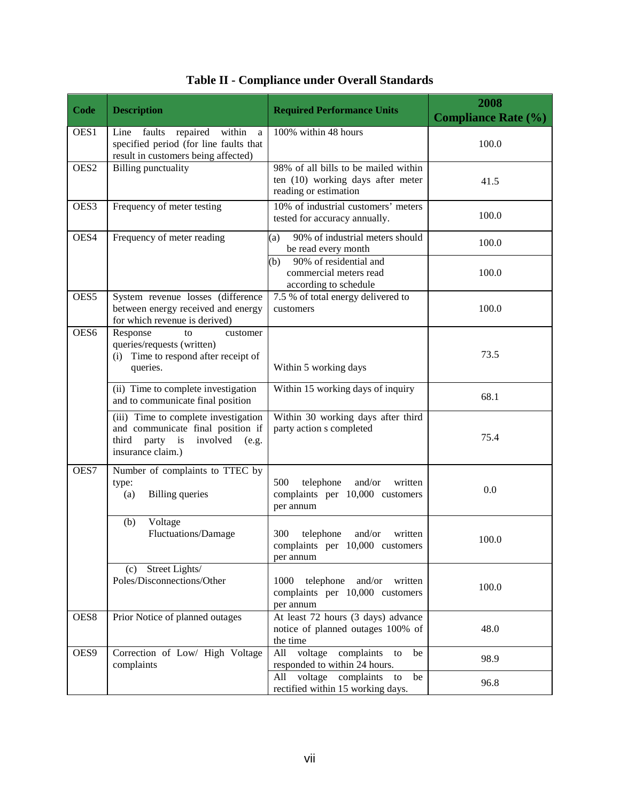<span id="page-7-0"></span>

| <b>Code</b>      | <b>Description</b>                                                                                                                    | <b>Required Performance Units</b>                                                                  | 2008<br><b>Compliance Rate (%)</b> |
|------------------|---------------------------------------------------------------------------------------------------------------------------------------|----------------------------------------------------------------------------------------------------|------------------------------------|
| OES1             | repaired<br>within<br>Line<br>faults<br>a<br>specified period (for line faults that<br>result in customers being affected)            | 100% within 48 hours                                                                               | 100.0                              |
| OES <sub>2</sub> | <b>Billing</b> punctuality                                                                                                            | 98% of all bills to be mailed within<br>ten (10) working days after meter<br>reading or estimation | 41.5                               |
| OES3             | Frequency of meter testing                                                                                                            | 10% of industrial customers' meters<br>tested for accuracy annually.                               | 100.0                              |
| OES4             | Frequency of meter reading                                                                                                            | 90% of industrial meters should<br>(a)<br>be read every month                                      | 100.0                              |
|                  |                                                                                                                                       | 90% of residential and<br>(b)<br>commercial meters read<br>according to schedule                   | 100.0                              |
| OES5             | System revenue losses (difference<br>between energy received and energy<br>for which revenue is derived)                              | 7.5 % of total energy delivered to<br>customers                                                    | 100.0                              |
| OES6             | Response<br>customer<br>to<br>queries/requests (written)<br>(i) Time to respond after receipt of<br>queries.                          | Within 5 working days                                                                              | 73.5                               |
|                  | (ii) Time to complete investigation<br>and to communicate final position                                                              | Within 15 working days of inquiry                                                                  | 68.1                               |
|                  | (iii) Time to complete investigation<br>and communicate final position if<br>third party is<br>involved<br>(e.g.<br>insurance claim.) | Within 30 working days after third<br>party action s completed                                     | 75.4                               |
| OES7             | Number of complaints to TTEC by<br>type:<br><b>Billing</b> queries<br>(a)                                                             | 500<br>telephone<br>and/or<br>written<br>complaints per 10,000 customers<br>per annum              | 0.0                                |
|                  | Voltage<br>(b)<br>Fluctuations/Damage                                                                                                 | 300<br>telephone<br>and/or<br>written<br>complaints per 10,000 customers<br>per annum              | 100.0                              |
|                  | (c) Street Lights/<br>Poles/Disconnections/Other                                                                                      | 1000<br>telephone and/or written<br>complaints per 10,000 customers<br>per annum                   | 100.0                              |
| OES8             | Prior Notice of planned outages                                                                                                       | At least 72 hours (3 days) advance<br>notice of planned outages 100% of<br>the time                | 48.0                               |
| OES9             | Correction of Low/ High Voltage<br>complaints                                                                                         | voltage<br>complaints<br>All<br>be<br>to<br>responded to within 24 hours.                          | 98.9                               |
|                  |                                                                                                                                       | All voltage complaints<br>be<br>to<br>rectified within 15 working days.                            | 96.8                               |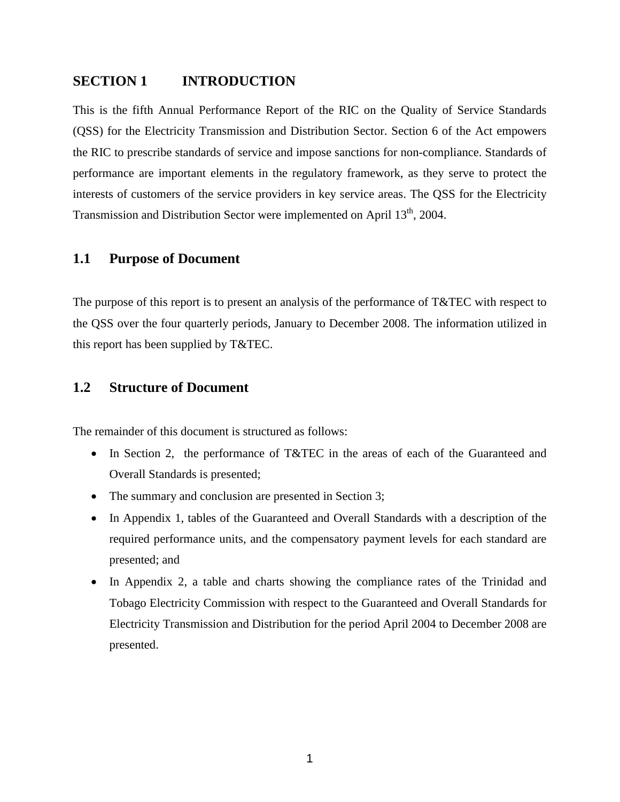### <span id="page-8-0"></span>**SECTION 1 INTRODUCTION**

This is the fifth Annual Performance Report of the RIC on the Quality of Service Standards (QSS) for the Electricity Transmission and Distribution Sector. Section 6 of the Act empowers the RIC to prescribe standards of service and impose sanctions for non-compliance. Standards of performance are important elements in the regulatory framework, as they serve to protect the interests of customers of the service providers in key service areas. The QSS for the Electricity Transmission and Distribution Sector were implemented on April 13<sup>th</sup>, 2004.

### <span id="page-8-1"></span>**1.1 Purpose of Document**

The purpose of this report is to present an analysis of the performance of T&TEC with respect to the QSS over the four quarterly periods, January to December 2008. The information utilized in this report has been supplied by T&TEC.

### <span id="page-8-2"></span>**1.2 Structure of Document**

The remainder of this document is structured as follows:

- In Section 2, the performance of T&TEC in the areas of each of the Guaranteed and Overall Standards is presented;
- The summary and conclusion are presented in Section 3;
- In Appendix 1, tables of the Guaranteed and Overall Standards with a description of the required performance units, and the compensatory payment levels for each standard are presented; and
- In Appendix 2, a table and charts showing the compliance rates of the Trinidad and Tobago Electricity Commission with respect to the Guaranteed and Overall Standards for Electricity Transmission and Distribution for the period April 2004 to December 2008 are presented.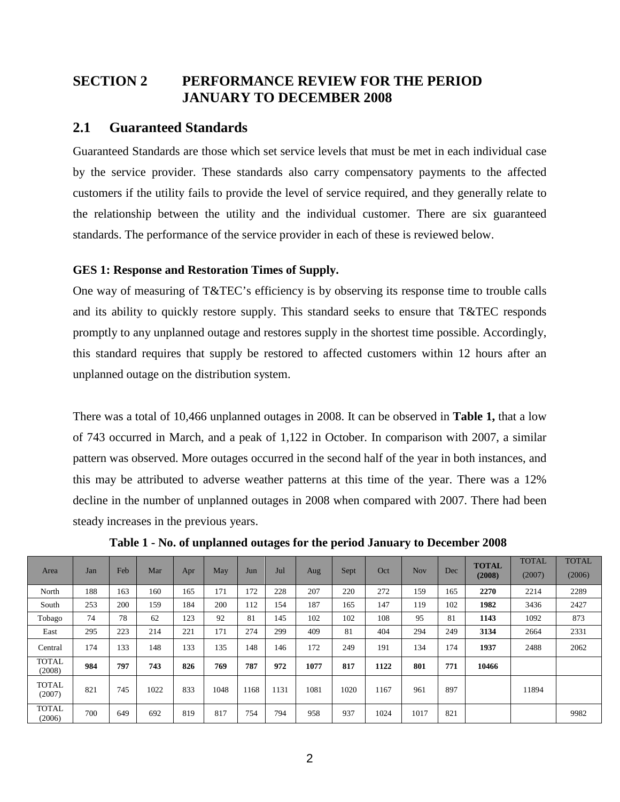# <span id="page-9-0"></span>**SECTION 2 PERFORMANCE REVIEW FOR THE PERIOD JANUARY TO DECEMBER 2008**

### <span id="page-9-1"></span>**2.1 Guaranteed Standards**

Guaranteed Standards are those which set service levels that must be met in each individual case by the service provider. These standards also carry compensatory payments to the affected customers if the utility fails to provide the level of service required, and they generally relate to the relationship between the utility and the individual customer. There are six guaranteed standards. The performance of the service provider in each of these is reviewed below.

### <span id="page-9-2"></span>**GES 1: Response and Restoration Times of Supply.**

One way of measuring of T&TEC's efficiency is by observing its response time to trouble calls and its ability to quickly restore supply. This standard seeks to ensure that T&TEC responds promptly to any unplanned outage and restores supply in the shortest time possible. Accordingly, this standard requires that supply be restored to affected customers within 12 hours after an unplanned outage on the distribution system.

There was a total of 10,466 unplanned outages in 2008. It can be observed in **Table 1,** that a low of 743 occurred in March, and a peak of 1,122 in October. In comparison with 2007, a similar pattern was observed. More outages occurred in the second half of the year in both instances, and this may be attributed to adverse weather patterns at this time of the year. There was a 12% decline in the number of unplanned outages in 2008 when compared with 2007. There had been steady increases in the previous years.

| Area                   | Jan | Feb | Mar  | Apr | May  | Jun  | Jul  | Aug  | Sept | Oct  | <b>Nov</b> | Dec | <b>TOTAL</b><br>(2008) | <b>TOTAL</b><br>(2007) | <b>TOTAL</b><br>(2006) |
|------------------------|-----|-----|------|-----|------|------|------|------|------|------|------------|-----|------------------------|------------------------|------------------------|
| North                  | 188 | 163 | 160  | 165 | 171  | 172  | 228  | 207  | 220  | 272  | 159        | 165 | 2270                   | 2214                   | 2289                   |
| South                  | 253 | 200 | 159  | 184 | 200  | 112  | 154  | 187  | 165  | 147  | 119        | 102 | 1982                   | 3436                   | 2427                   |
| Tobago                 | 74  | 78  | 62   | 123 | 92   | 81   | 145  | 102  | 102  | 108  | 95         | 81  | 1143                   | 1092                   | 873                    |
| East                   | 295 | 223 | 214  | 221 | 171  | 274  | 299  | 409  | 81   | 404  | 294        | 249 | 3134                   | 2664                   | 2331                   |
| Central                | 174 | 133 | 148  | 133 | 135  | 148  | 146  | 172  | 249  | 191  | 134        | 174 | 1937                   | 2488                   | 2062                   |
| <b>TOTAL</b><br>(2008) | 984 | 797 | 743  | 826 | 769  | 787  | 972  | 1077 | 817  | 1122 | 801        | 771 | 10466                  |                        |                        |
| <b>TOTAL</b><br>(2007) | 821 | 745 | 1022 | 833 | 1048 | 1168 | 1131 | 1081 | 1020 | 1167 | 961        | 897 |                        | 11894                  |                        |
| <b>TOTAL</b><br>(2006) | 700 | 649 | 692  | 819 | 817  | 754  | 794  | 958  | 937  | 1024 | 1017       | 821 |                        |                        | 9982                   |

<span id="page-9-3"></span>**Table 1 - No. of unplanned outages for the period January to December 2008**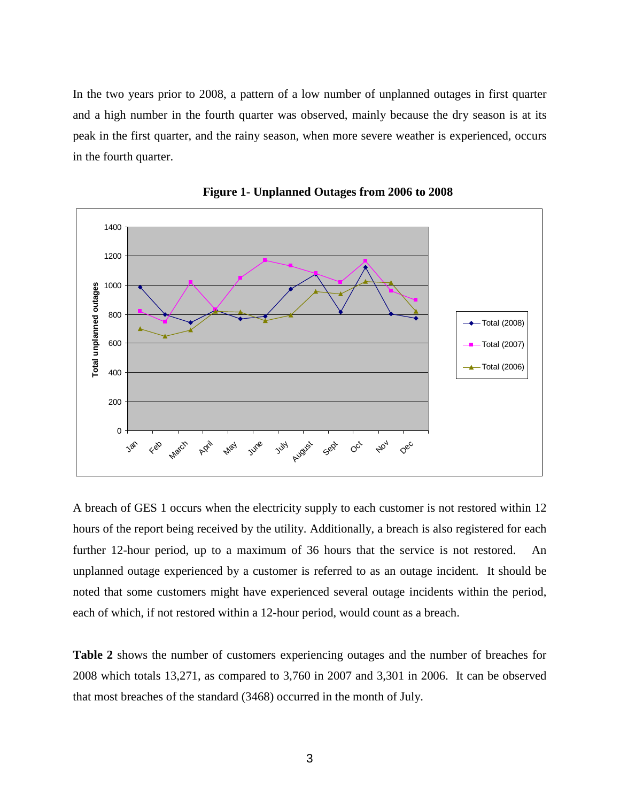In the two years prior to 2008, a pattern of a low number of unplanned outages in first quarter and a high number in the fourth quarter was observed, mainly because the dry season is at its peak in the first quarter, and the rainy season, when more severe weather is experienced, occurs in the fourth quarter.

<span id="page-10-0"></span>



A breach of GES 1 occurs when the electricity supply to each customer is not restored within 12 hours of the report being received by the utility. Additionally, a breach is also registered for each further 12-hour period, up to a maximum of 36 hours that the service is not restored. An unplanned outage experienced by a customer is referred to as an outage incident. It should be noted that some customers might have experienced several outage incidents within the period, each of which, if not restored within a 12-hour period, would count as a breach.

**Table 2** shows the number of customers experiencing outages and the number of breaches for 2008 which totals 13,271, as compared to 3,760 in 2007 and 3,301 in 2006. It can be observed that most breaches of the standard (3468) occurred in the month of July.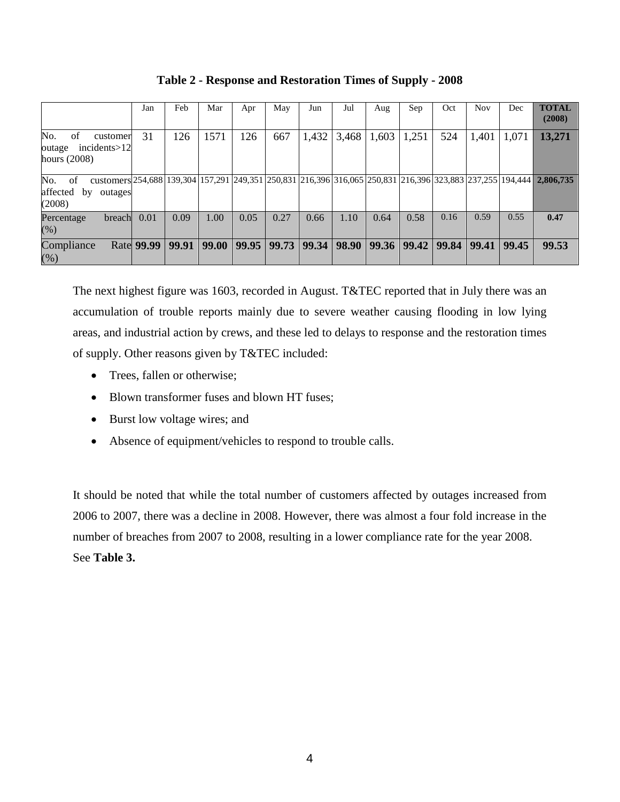<span id="page-11-0"></span>

|                                                                                                                                                                                  | Jan               | Feb   | Mar   | Apr   | May   | Jun   | Jul   | Aug   | Sep   | Oct   | <b>Nov</b> | Dec   | <b>TOTAL</b><br>(2008) |
|----------------------------------------------------------------------------------------------------------------------------------------------------------------------------------|-------------------|-------|-------|-------|-------|-------|-------|-------|-------|-------|------------|-------|------------------------|
| No.<br>of<br>customer<br>incidents > 12<br>outage<br>hours $(2008)$                                                                                                              | 31                | 126   | 1571  | 126   | 667   | 1,432 | 3,468 | 1,603 | 1,251 | 524   | 1,401      | 1,071 | 13,271                 |
| customers 254,688   139,304   157,291   249,351   250,831   216,396   316,065   250,831   216,396   323,883   237,255   194,444<br>No. of<br>affected<br>by<br>outages<br>(2008) |                   |       |       |       |       |       |       |       |       |       |            |       | 2,806,735              |
| breach<br>Percentage<br>(% )                                                                                                                                                     | 0.01              | 0.09  | 1.00  | 0.05  | 0.27  | 0.66  | 1.10  | 0.64  | 0.58  | 0.16  | 0.59       | 0.55  | 0.47                   |
| Compliance<br>$(\%)$                                                                                                                                                             | <b>Rate 99.99</b> | 99.91 | 99.00 | 99.95 | 99.73 | 99.34 | 98.90 | 99.36 | 99.42 | 99.84 | 99.41      | 99.45 | 99.53                  |

**Table 2 - Response and Restoration Times of Supply - 2008**

The next highest figure was 1603, recorded in August. T&TEC reported that in July there was an accumulation of trouble reports mainly due to severe weather causing flooding in low lying areas, and industrial action by crews, and these led to delays to response and the restoration times of supply. Other reasons given by T&TEC included:

- Trees, fallen or otherwise;
- Blown transformer fuses and blown HT fuses;
- Burst low voltage wires; and
- Absence of equipment/vehicles to respond to trouble calls.

It should be noted that while the total number of customers affected by outages increased from 2006 to 2007, there was a decline in 2008. However, there was almost a four fold increase in the number of breaches from 2007 to 2008, resulting in a lower compliance rate for the year 2008. See **Table 3.**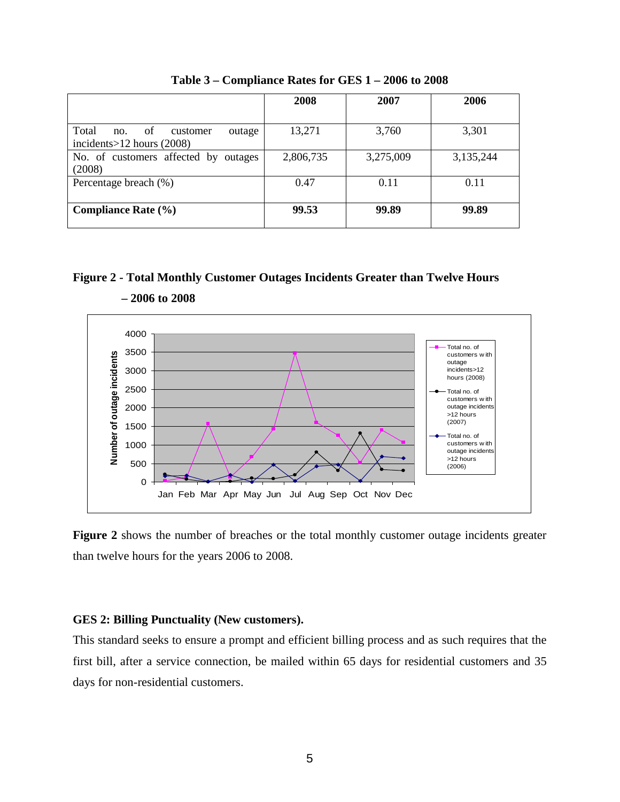<span id="page-12-1"></span>

|                                                                          | 2008      | 2007      | 2006      |
|--------------------------------------------------------------------------|-----------|-----------|-----------|
|                                                                          |           |           |           |
| Total<br>of<br>customer<br>outage<br>no.<br>incidents $>12$ hours (2008) | 13,271    | 3,760     | 3,301     |
| No. of customers affected by outages<br>(2008)                           | 2,806,735 | 3,275,009 | 3,135,244 |
| Percentage breach (%)                                                    | 0.47      | 0.11      | 0.11      |
| <b>Compliance Rate (%)</b>                                               | 99.53     | 99.89     | 99.89     |

**Table 3 – Compliance Rates for GES 1 – 2006 to 2008**

### <span id="page-12-2"></span>**Figure 2 - Total Monthly Customer Outages Incidents Greater than Twelve Hours**



 **– 2006 to 2008**

**Figure 2** shows the number of breaches or the total monthly customer outage incidents greater than twelve hours for the years 2006 to 2008.

### <span id="page-12-0"></span>**GES 2: Billing Punctuality (New customers).**

This standard seeks to ensure a prompt and efficient billing process and as such requires that the first bill, after a service connection, be mailed within 65 days for residential customers and 35 days for non-residential customers.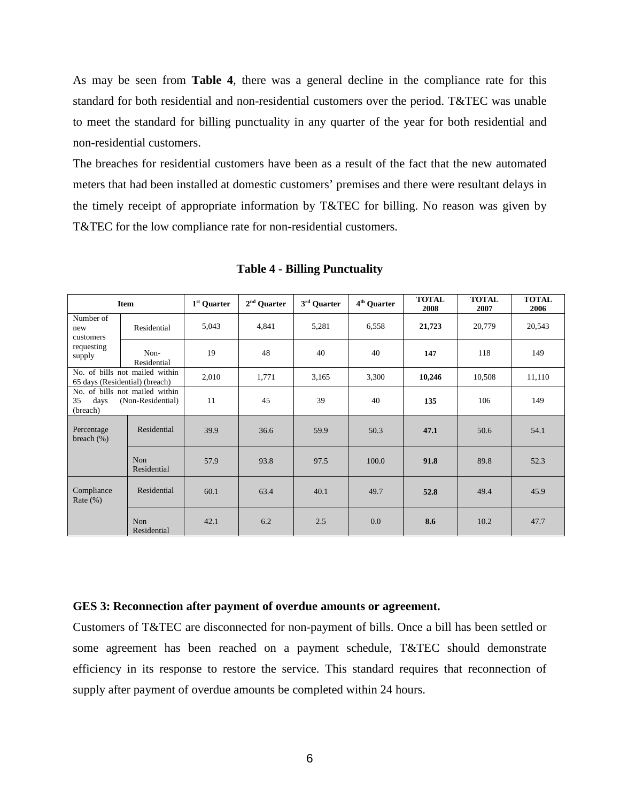As may be seen from **Table 4**, there was a general decline in the compliance rate for this standard for both residential and non-residential customers over the period. T&TEC was unable to meet the standard for billing punctuality in any quarter of the year for both residential and non-residential customers.

The breaches for residential customers have been as a result of the fact that the new automated meters that had been installed at domestic customers' premises and there were resultant delays in the timely receipt of appropriate information by T&TEC for billing. No reason was given by T&TEC for the low compliance rate for non-residential customers.

<span id="page-13-1"></span>

|                                                                               | <b>Item</b>                                                      | 1 <sup>st</sup> Quarter | $2^{\rm nd}$ Quarter | $3^{\rm rd}$ Quarter | 4 <sup>th</sup> Quarter | <b>TOTAL</b><br>2008 | <b>TOTAL</b><br>2007 | <b>TOTAL</b><br>2006 |
|-------------------------------------------------------------------------------|------------------------------------------------------------------|-------------------------|----------------------|----------------------|-------------------------|----------------------|----------------------|----------------------|
| Number of<br>new<br>customers                                                 | Residential                                                      | 5,043                   | 4,841                | 5,281                | 6,558                   | 21,723               | 20,779               | 20,543               |
| requesting<br>supply                                                          | Non-<br>Residential                                              | 19                      | 48                   | 40                   | 40                      | 147                  | 118                  | 149                  |
|                                                                               | No. of bills not mailed within<br>65 days (Residential) (breach) | 2,010                   | 1,771                | 3,165                | 3,300                   | 10,246               | 10,508               | 11,110               |
| No. of bills not mailed within<br>35<br>(Non-Residential)<br>days<br>(breach) |                                                                  | 11                      | 45                   | 39                   | 40                      | 135                  | 106                  | 149                  |
| Percentage<br>breach $(\%)$                                                   | Residential                                                      | 39.9                    | 36.6                 | 59.9                 | 50.3                    | 47.1                 | 50.6                 | 54.1                 |
|                                                                               | Non<br>Residential                                               | 57.9                    | 93.8                 | 97.5                 | 100.0                   | 91.8                 | 89.8                 | 52.3                 |
| Compliance<br>Rate $(\% )$                                                    | Residential                                                      | 60.1                    | 63.4                 | 40.1                 | 49.7                    | 52.8                 | 49.4                 | 45.9                 |
|                                                                               | Non<br>Residential                                               | 42.1                    | 6.2                  | 2.5                  | 0.0                     | 8.6                  | 10.2                 | 47.7                 |

**Table 4 - Billing Punctuality**

#### <span id="page-13-0"></span>**GES 3: Reconnection after payment of overdue amounts or agreement.**

Customers of T&TEC are disconnected for non-payment of bills. Once a bill has been settled or some agreement has been reached on a payment schedule, T&TEC should demonstrate efficiency in its response to restore the service. This standard requires that reconnection of supply after payment of overdue amounts be completed within 24 hours.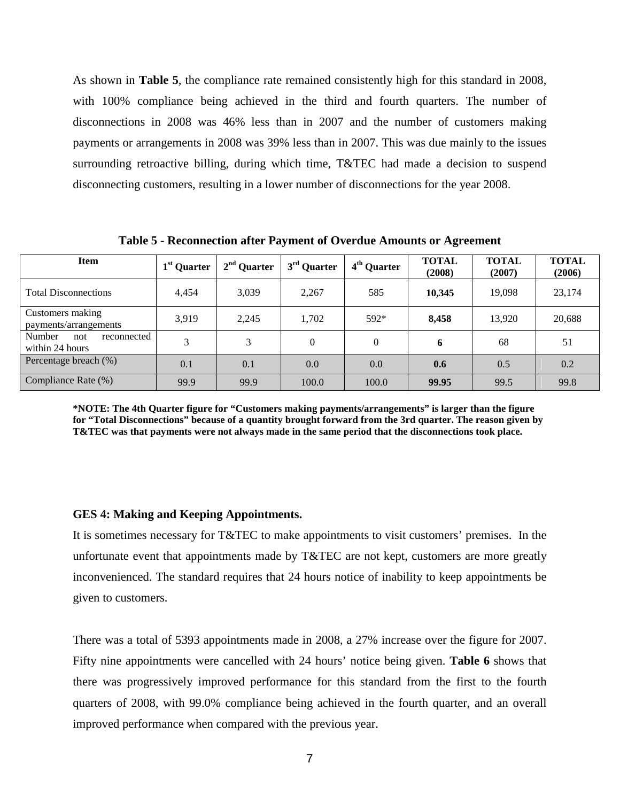As shown in **Table 5**, the compliance rate remained consistently high for this standard in 2008, with 100% compliance being achieved in the third and fourth quarters. The number of disconnections in 2008 was 46% less than in 2007 and the number of customers making payments or arrangements in 2008 was 39% less than in 2007. This was due mainly to the issues surrounding retroactive billing, during which time, T&TEC had made a decision to suspend disconnecting customers, resulting in a lower number of disconnections for the year 2008.

| <b>Item</b>                                     | 1 <sup>st</sup> Quarter | $2nd$ Quarter | $3rd$ Quarter | 4 <sup>th</sup> Quarter | <b>TOTAL</b><br>(2008) | <b>TOTAL</b><br>(2007) | <b>TOTAL</b><br>(2006) |
|-------------------------------------------------|-------------------------|---------------|---------------|-------------------------|------------------------|------------------------|------------------------|
| <b>Total Disconnections</b>                     | 4,454                   | 3,039         | 2,267         | 585                     | 10,345                 | 19,098                 | 23,174                 |
| Customers making<br>payments/arrangements       | 3.919                   | 2,245         | 1,702         | $592*$                  | 8,458                  | 13,920                 | 20,688                 |
| Number<br>not<br>reconnected<br>within 24 hours | 3                       | 3             | $\Omega$      | $\Omega$                | 6                      | 68                     | 51                     |
| Percentage breach (%)                           | 0.1                     | 0.1           | 0.0           | 0.0                     | 0.6                    | 0.5                    | 0.2                    |
| Compliance Rate (%)                             | 99.9                    | 99.9          | 100.0         | 100.0                   | 99.95                  | 99.5                   | 99.8                   |

<span id="page-14-1"></span>**Table 5 - Reconnection after Payment of Overdue Amounts or Agreement**

**\*NOTE: The 4th Quarter figure for "Customers making payments/arrangements" is larger than the figure for "Total Disconnections" because of a quantity brought forward from the 3rd quarter. The reason given by T&TEC was that payments were not always made in the same period that the disconnections took place.**

#### <span id="page-14-0"></span>**GES 4: Making and Keeping Appointments.**

It is sometimes necessary for T&TEC to make appointments to visit customers' premises. In the unfortunate event that appointments made by T&TEC are not kept, customers are more greatly inconvenienced. The standard requires that 24 hours notice of inability to keep appointments be given to customers.

There was a total of 5393 appointments made in 2008, a 27% increase over the figure for 2007. Fifty nine appointments were cancelled with 24 hours' notice being given. **Table 6** shows that there was progressively improved performance for this standard from the first to the fourth quarters of 2008, with 99.0% compliance being achieved in the fourth quarter, and an overall improved performance when compared with the previous year.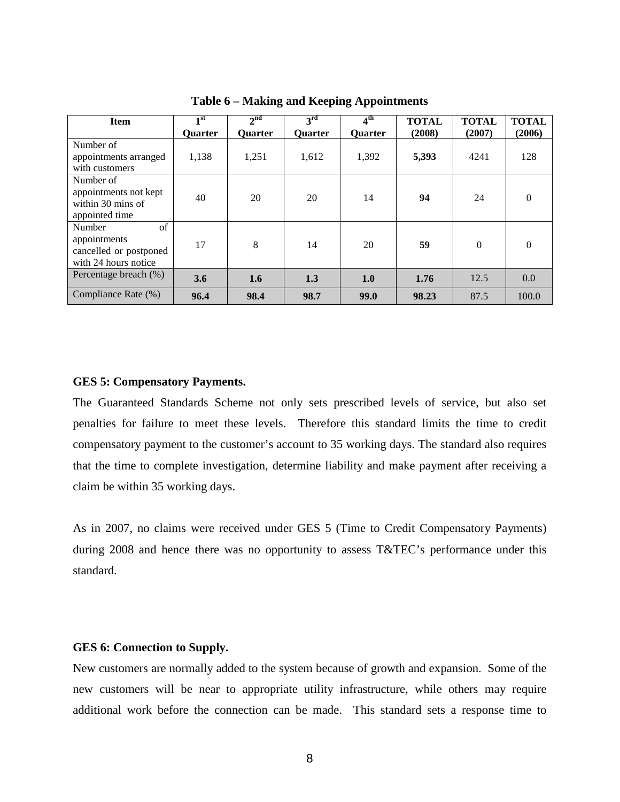<span id="page-15-2"></span>

| <b>Item</b>                                                                    | $\blacksquare$ st | $2^{\text{nd}}$ | $\mathbf{a}^{\rm rd}$ | 4 <sup>th</sup> | <b>TOTAL</b> | <b>TOTAL</b> | <b>TOTAL</b> |
|--------------------------------------------------------------------------------|-------------------|-----------------|-----------------------|-----------------|--------------|--------------|--------------|
|                                                                                | <b>Ouarter</b>    | <b>Ouarter</b>  | <b>Ouarter</b>        | <b>Ouarter</b>  | (2008)       | (2007)       | (2006)       |
| Number of<br>appointments arranged                                             | 1,138             | 1,251           | 1,612                 | 1,392           | 5,393        | 4241         | 128          |
| with customers                                                                 |                   |                 |                       |                 |              |              |              |
| Number of<br>appointments not kept<br>within 30 mins of<br>appointed time      | 40                | 20              | 20                    | 14              | 94           | 24           | 0            |
| of<br>Number<br>appointments<br>cancelled or postponed<br>with 24 hours notice | 17                | 8               | 14                    | 20              | 59           | $\theta$     | $\Omega$     |
| Percentage breach (%)                                                          | 3.6               | 1.6             | 1.3                   | 1.0             | 1.76         | 12.5         | 0.0          |
| Compliance Rate (%)                                                            | 96.4              | 98.4            | 98.7                  | 99.0            | 98.23        | 87.5         | 100.0        |

**Table 6 – Making and Keeping Appointments**

#### <span id="page-15-0"></span>**GES 5: Compensatory Payments.**

The Guaranteed Standards Scheme not only sets prescribed levels of service, but also set penalties for failure to meet these levels. Therefore this standard limits the time to credit compensatory payment to the customer's account to 35 working days. The standard also requires that the time to complete investigation, determine liability and make payment after receiving a claim be within 35 working days.

As in 2007, no claims were received under GES 5 (Time to Credit Compensatory Payments) during 2008 and hence there was no opportunity to assess T&TEC's performance under this standard.

#### <span id="page-15-1"></span>**GES 6: Connection to Supply.**

New customers are normally added to the system because of growth and expansion. Some of the new customers will be near to appropriate utility infrastructure, while others may require additional work before the connection can be made. This standard sets a response time to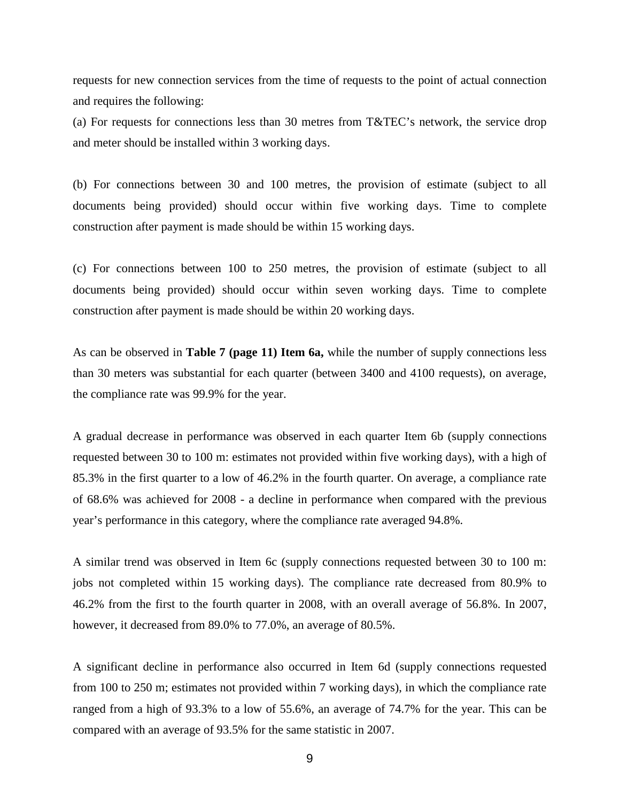requests for new connection services from the time of requests to the point of actual connection and requires the following:

(a) For requests for connections less than 30 metres from T&TEC's network, the service drop and meter should be installed within 3 working days.

(b) For connections between 30 and 100 metres, the provision of estimate (subject to all documents being provided) should occur within five working days. Time to complete construction after payment is made should be within 15 working days.

(c) For connections between 100 to 250 metres, the provision of estimate (subject to all documents being provided) should occur within seven working days. Time to complete construction after payment is made should be within 20 working days.

As can be observed in **Table 7 (page 11) Item 6a,** while the number of supply connections less than 30 meters was substantial for each quarter (between 3400 and 4100 requests), on average, the compliance rate was 99.9% for the year.

A gradual decrease in performance was observed in each quarter Item 6b (supply connections requested between 30 to 100 m: estimates not provided within five working days), with a high of 85.3% in the first quarter to a low of 46.2% in the fourth quarter. On average, a compliance rate of 68.6% was achieved for 2008 - a decline in performance when compared with the previous year's performance in this category, where the compliance rate averaged 94.8%.

A similar trend was observed in Item 6c (supply connections requested between 30 to 100 m: jobs not completed within 15 working days). The compliance rate decreased from 80.9% to 46.2% from the first to the fourth quarter in 2008, with an overall average of 56.8%. In 2007, however, it decreased from 89.0% to 77.0%, an average of 80.5%.

A significant decline in performance also occurred in Item 6d (supply connections requested from 100 to 250 m; estimates not provided within 7 working days), in which the compliance rate ranged from a high of 93.3% to a low of 55.6%, an average of 74.7% for the year. This can be compared with an average of 93.5% for the same statistic in 2007.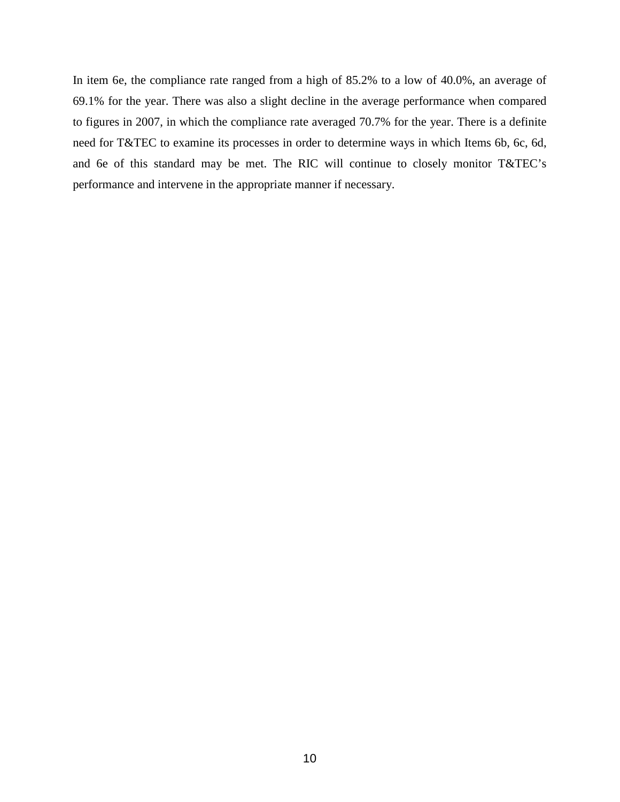In item 6e, the compliance rate ranged from a high of 85.2% to a low of 40.0%, an average of 69.1% for the year. There was also a slight decline in the average performance when compared to figures in 2007, in which the compliance rate averaged 70.7% for the year. There is a definite need for T&TEC to examine its processes in order to determine ways in which Items 6b, 6c, 6d, and 6e of this standard may be met. The RIC will continue to closely monitor T&TEC's performance and intervene in the appropriate manner if necessary.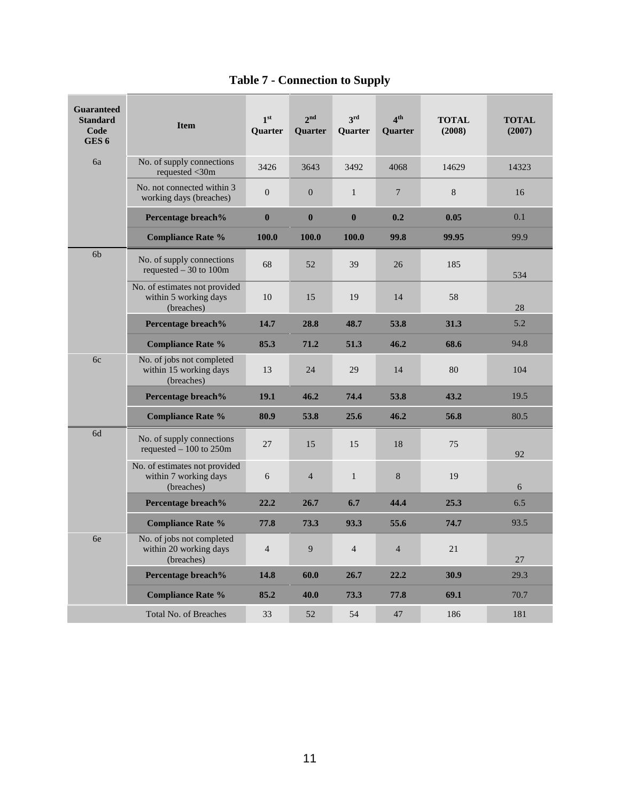<span id="page-18-0"></span>

| <b>Guaranteed</b><br><b>Standard</b><br>Code<br>GES <sub>6</sub> | <b>Item</b>                                                          | 1 <sup>st</sup><br><b>Ouarter</b> | 2 <sup>nd</sup><br><b>Ouarter</b> | 3rd<br><b>Ouarter</b> | 4 <sup>th</sup><br>Quarter | <b>TOTAL</b><br>(2008) | <b>TOTAL</b><br>(2007) |
|------------------------------------------------------------------|----------------------------------------------------------------------|-----------------------------------|-----------------------------------|-----------------------|----------------------------|------------------------|------------------------|
| 6a                                                               | No. of supply connections<br>requested <30m                          | 3426                              | 3643                              | 3492                  | 4068                       | 14629                  | 14323                  |
|                                                                  | No. not connected within 3<br>working days (breaches)                | $\boldsymbol{0}$                  | $\boldsymbol{0}$                  | $\mathbf{1}$          | $\overline{7}$             | 8                      | 16                     |
|                                                                  | Percentage breach%                                                   | $\bf{0}$                          | $\bf{0}$                          | $\bf{0}$              | 0.2                        | 0.05                   | 0.1                    |
|                                                                  | <b>Compliance Rate %</b>                                             | 100.0                             | 100.0                             | 100.0                 | 99.8                       | 99.95                  | 99.9                   |
| 6 <sub>b</sub>                                                   | No. of supply connections<br>requested $-30$ to 100m                 | 68                                | 52                                | 39                    | 26                         | 185                    | 534                    |
|                                                                  | No. of estimates not provided<br>within 5 working days<br>(breaches) | 10                                | 15                                | 19                    | 14                         | 58                     | 28                     |
|                                                                  | Percentage breach%                                                   | 14.7                              | 28.8                              | 48.7                  | 53.8                       | 31.3                   | 5.2                    |
|                                                                  | <b>Compliance Rate %</b>                                             | 85.3                              | 71.2                              | 51.3                  | 46.2                       | 68.6                   | 94.8                   |
| 6c                                                               | No. of jobs not completed<br>within 15 working days<br>(breaches)    | 13                                | 24                                | 29                    | 14                         | 80                     | 104                    |
|                                                                  | Percentage breach%                                                   | 19.1                              | 46.2                              | 74.4                  | 53.8                       | 43.2                   | 19.5                   |
|                                                                  | <b>Compliance Rate %</b>                                             | 80.9                              | 53.8                              | 25.6                  | 46.2                       | 56.8                   | 80.5                   |
| 6d                                                               | No. of supply connections<br>requested $-100$ to 250m                | 27                                | 15                                | 15                    | 18                         | 75                     | 92                     |
|                                                                  | No. of estimates not provided<br>within 7 working days<br>(breaches) | 6                                 | $\overline{4}$                    | $\mathbf{1}$          | 8                          | 19                     | 6                      |
|                                                                  | Percentage breach%                                                   | 22.2                              | 26.7                              | 6.7                   | 44.4                       | 25.3                   | 6.5                    |
|                                                                  | <b>Compliance Rate %</b>                                             | 77.8                              | 73.3                              | 93.3                  | 55.6                       | 74.7                   | 93.5                   |
| 6e                                                               | No. of jobs not completed<br>within 20 working days<br>(breaches)    | $\overline{4}$                    | $\overline{9}$                    | $\overline{4}$        | $\overline{4}$             | 21                     | 27                     |
|                                                                  | Percentage breach%                                                   | 14.8                              | 60.0                              | 26.7                  | 22.2                       | 30.9                   | 29.3                   |
|                                                                  | <b>Compliance Rate %</b>                                             | 85.2                              | 40.0                              | 73.3                  | 77.8                       | 69.1                   | 70.7                   |
|                                                                  | <b>Total No. of Breaches</b>                                         | 33                                | 52                                | 54                    | 47                         | 186                    | 181                    |

# **Table 7 - Connection to Supply**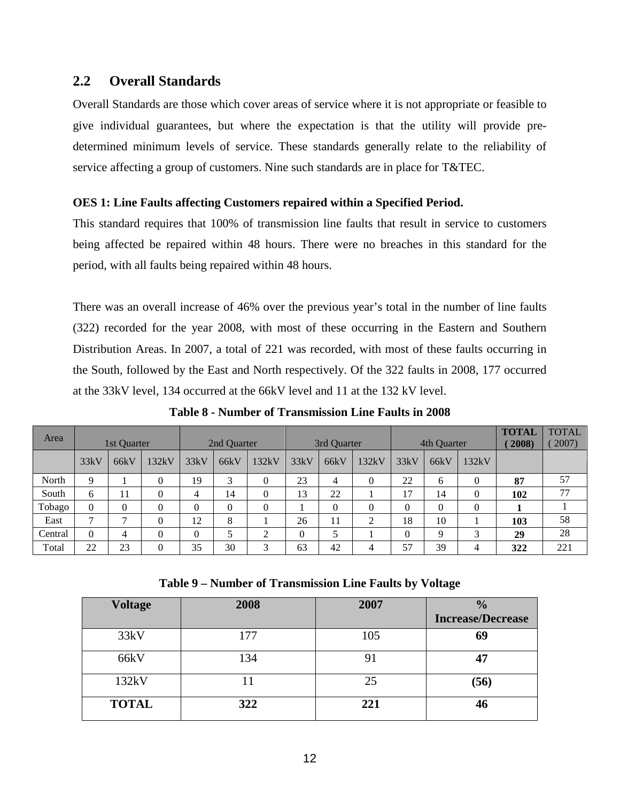### <span id="page-19-0"></span>**2.2 Overall Standards**

Overall Standards are those which cover areas of service where it is not appropriate or feasible to give individual guarantees, but where the expectation is that the utility will provide predetermined minimum levels of service. These standards generally relate to the reliability of service affecting a group of customers. Nine such standards are in place for T&TEC.

### <span id="page-19-1"></span>**OES 1: Line Faults affecting Customers repaired within a Specified Period.**

This standard requires that 100% of transmission line faults that result in service to customers being affected be repaired within 48 hours. There were no breaches in this standard for the period, with all faults being repaired within 48 hours.

There was an overall increase of 46% over the previous year's total in the number of line faults (322) recorded for the year 2008, with most of these occurring in the Eastern and Southern Distribution Areas. In 2007, a total of 221 was recorded, with most of these faults occurring in the South, followed by the East and North respectively. Of the 322 faults in 2008, 177 occurred at the 33kV level, 134 occurred at the 66kV level and 11 at the 132 kV level.

<span id="page-19-2"></span>

| Area    |                | 1st Quarter |          |              | 2nd Quarter |          | 3rd Quarter |      | 4th Quarter    |          | <b>TOTAL</b><br>2008) | <b>TOTAL</b><br>2007) |     |     |
|---------|----------------|-------------|----------|--------------|-------------|----------|-------------|------|----------------|----------|-----------------------|-----------------------|-----|-----|
|         | 33kV           | 66kV        | 132kV    | 33kV         | 66kV        | 132kV    | 33kV        | 66kV | 132kV          | 33kV     | 66kV                  | 132kV                 |     |     |
| North   | 9              |             | $\Omega$ | 19           | 3           | $\theta$ | 23          | 4    | $\theta$       | 22       | 6                     | $\theta$              | 87  | 57  |
| South   | 6              | 11          | $\Omega$ | 4            | 14          | $\theta$ | 13          | 22   |                | 17       | 14                    | 0                     | 102 | 77  |
| Tobago  | $\theta$       | $\theta$    | 0        | $\mathbf{0}$ | $\Omega$    | $\theta$ |             | 0    | $\Omega$       | $\theta$ | 0                     | $\theta$              |     |     |
| East    | $\overline{ }$ |             | $\Omega$ | 12           | 8           |          | 26          | 11   | ◠              | 18       | 10                    |                       | 103 | 58  |
| Central | 0              | 4           | $\Omega$ | $\mathbf{0}$ |             | ◠        | 0           |      |                | 0        | Q                     | 3                     | 29  | 28  |
| Total   | 22             | 23          | $\Omega$ | 35           | 30          | 3        | 63          | 42   | $\overline{4}$ | 57       | 39                    | 4                     | 322 | 221 |

**Table 8 - Number of Transmission Line Faults in 2008**

**Table 9 – Number of Transmission Line Faults by Voltage** 

<span id="page-19-3"></span>

| <b>Voltage</b> | 2008 | 2007 | $\frac{0}{0}$<br><b>Increase/Decrease</b> |
|----------------|------|------|-------------------------------------------|
| 33kV           | 177  | 105  | 69                                        |
| 66kV           | 134  | 91   | 47                                        |
| 132kV          |      | 25   | (56)                                      |
| <b>TOTAL</b>   | 322  | 221  | 46                                        |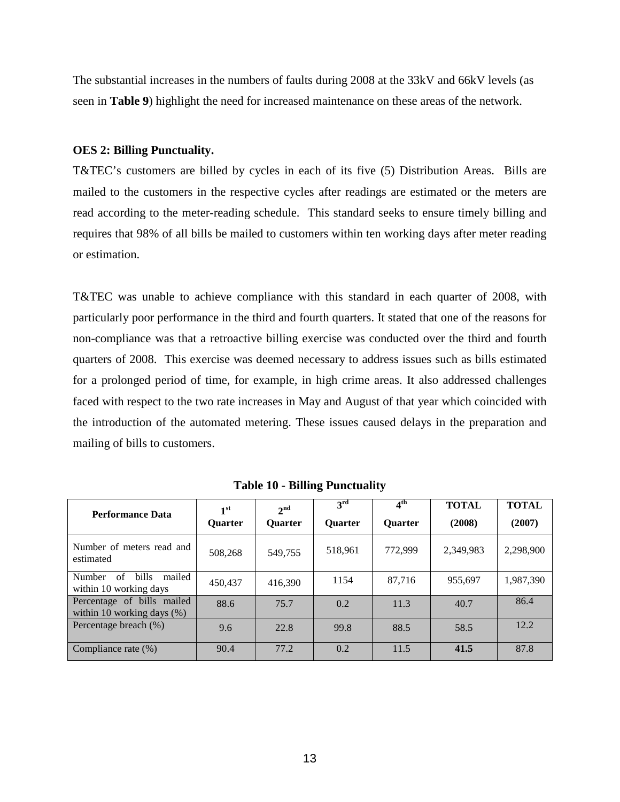The substantial increases in the numbers of faults during 2008 at the 33kV and 66kV levels (as seen in **Table 9**) highlight the need for increased maintenance on these areas of the network.

### <span id="page-20-0"></span>**OES 2: Billing Punctuality.**

T&TEC's customers are billed by cycles in each of its five (5) Distribution Areas. Bills are mailed to the customers in the respective cycles after readings are estimated or the meters are read according to the meter-reading schedule. This standard seeks to ensure timely billing and requires that 98% of all bills be mailed to customers within ten working days after meter reading or estimation.

T&TEC was unable to achieve compliance with this standard in each quarter of 2008, with particularly poor performance in the third and fourth quarters. It stated that one of the reasons for non-compliance was that a retroactive billing exercise was conducted over the third and fourth quarters of 2008. This exercise was deemed necessary to address issues such as bills estimated for a prolonged period of time, for example, in high crime areas. It also addressed challenges faced with respect to the two rate increases in May and August of that year which coincided with the introduction of the automated metering. These issues caused delays in the preparation and mailing of bills to customers.

<span id="page-20-1"></span>

| <b>Performance Data</b>                                          | 1 <sup>st</sup><br><b>Ouarter</b> | 2 <sup>nd</sup><br><b>Ouarter</b> | 3 <sup>rd</sup><br><b>Ouarter</b> | $4^{\text{th}}$<br><b>Ouarter</b> | <b>TOTAL</b><br>(2008) | <b>TOTAL</b><br>(2007) |
|------------------------------------------------------------------|-----------------------------------|-----------------------------------|-----------------------------------|-----------------------------------|------------------------|------------------------|
| Number of meters read and<br>estimated                           | 508,268                           | 549.755                           | 518,961                           | 772,999                           | 2,349,983              | 2,298,900              |
| bills<br><b>Number</b><br>of<br>mailed<br>within 10 working days | 450,437                           | 416.390                           | 1154                              | 87,716                            | 955.697                | 1,987,390              |
| Percentage of bills mailed<br>within 10 working days $(\%)$      | 88.6                              | 75.7                              | 0.2                               | 11.3                              | 40.7                   | 86.4                   |
| Percentage breach (%)                                            | 9.6                               | 22.8                              | 99.8                              | 88.5                              | 58.5                   | 12.2                   |
| Compliance rate (%)                                              | 90.4                              | 77.2                              | 0.2                               | 11.5                              | 41.5                   | 87.8                   |

**Table 10 - Billing Punctuality**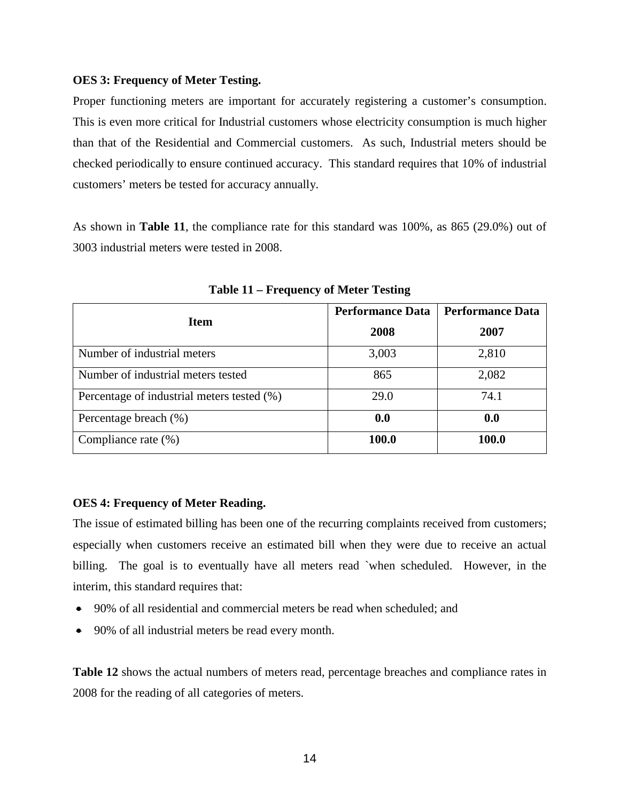### <span id="page-21-0"></span>**OES 3: Frequency of Meter Testing.**

Proper functioning meters are important for accurately registering a customer's consumption. This is even more critical for Industrial customers whose electricity consumption is much higher than that of the Residential and Commercial customers. As such, Industrial meters should be checked periodically to ensure continued accuracy. This standard requires that 10% of industrial customers' meters be tested for accuracy annually.

As shown in **Table 11**, the compliance rate for this standard was 100%, as 865 (29.0%) out of 3003 industrial meters were tested in 2008.

<span id="page-21-2"></span>

|                                            | <b>Performance Data</b> | <b>Performance Data</b> |
|--------------------------------------------|-------------------------|-------------------------|
| <b>Item</b>                                | 2008                    | 2007                    |
| Number of industrial meters                | 3,003                   | 2,810                   |
| Number of industrial meters tested         | 865                     | 2,082                   |
| Percentage of industrial meters tested (%) | 29.0                    | 74.1                    |
| Percentage breach (%)                      | 0.0                     | 0.0                     |
| Compliance rate (%)                        | 100.0                   | 100.0                   |

**Table 11 – Frequency of Meter Testing**

### <span id="page-21-1"></span>**OES 4: Frequency of Meter Reading.**

The issue of estimated billing has been one of the recurring complaints received from customers; especially when customers receive an estimated bill when they were due to receive an actual billing. The goal is to eventually have all meters read `when scheduled. However, in the interim, this standard requires that:

- 90% of all residential and commercial meters be read when scheduled; and
- 90% of all industrial meters be read every month.

**Table 12** shows the actual numbers of meters read, percentage breaches and compliance rates in 2008 for the reading of all categories of meters.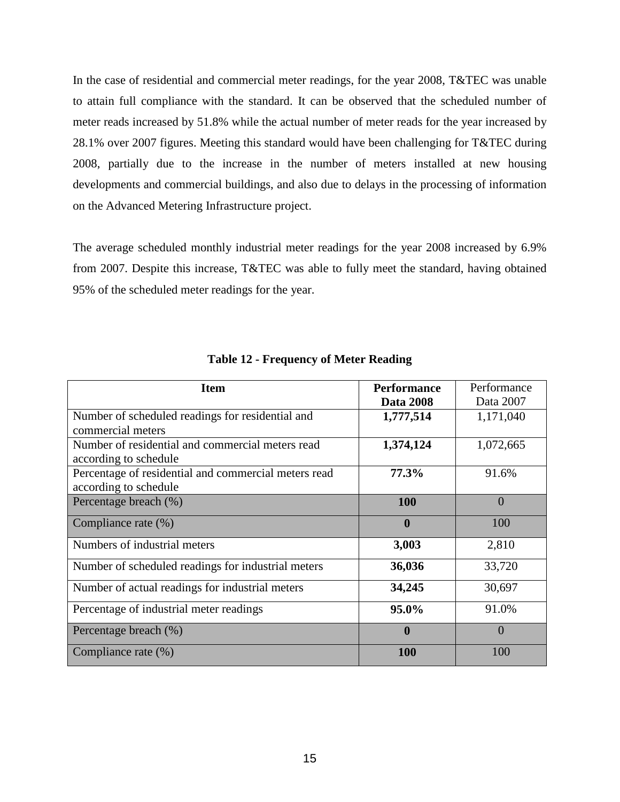In the case of residential and commercial meter readings, for the year 2008, T&TEC was unable to attain full compliance with the standard. It can be observed that the scheduled number of meter reads increased by 51.8% while the actual number of meter reads for the year increased by 28.1% over 2007 figures. Meeting this standard would have been challenging for T&TEC during 2008, partially due to the increase in the number of meters installed at new housing developments and commercial buildings, and also due to delays in the processing of information on the Advanced Metering Infrastructure project.

The average scheduled monthly industrial meter readings for the year 2008 increased by 6.9% from 2007. Despite this increase, T&TEC was able to fully meet the standard, having obtained 95% of the scheduled meter readings for the year.

<span id="page-22-0"></span>

| <b>Item</b>                                          | <b>Performance</b> | Performance    |
|------------------------------------------------------|--------------------|----------------|
|                                                      | <b>Data 2008</b>   | Data 2007      |
| Number of scheduled readings for residential and     | 1,777,514          | 1,171,040      |
| commercial meters                                    |                    |                |
| Number of residential and commercial meters read     | 1,374,124          | 1,072,665      |
| according to schedule                                |                    |                |
| Percentage of residential and commercial meters read | 77.3%              | 91.6%          |
| according to schedule                                |                    |                |
| Percentage breach (%)                                | 100                | $\overline{0}$ |
| Compliance rate (%)                                  | $\mathbf 0$        | 100            |
| Numbers of industrial meters                         | 3,003              | 2,810          |
| Number of scheduled readings for industrial meters   | 36,036             | 33,720         |
| Number of actual readings for industrial meters      | 34,245             | 30,697         |
| Percentage of industrial meter readings              | 95.0%              | 91.0%          |
| Percentage breach (%)                                | $\mathbf 0$        | $\overline{0}$ |
| Compliance rate (%)                                  | <b>100</b>         | 100            |

**Table 12 - Frequency of Meter Reading**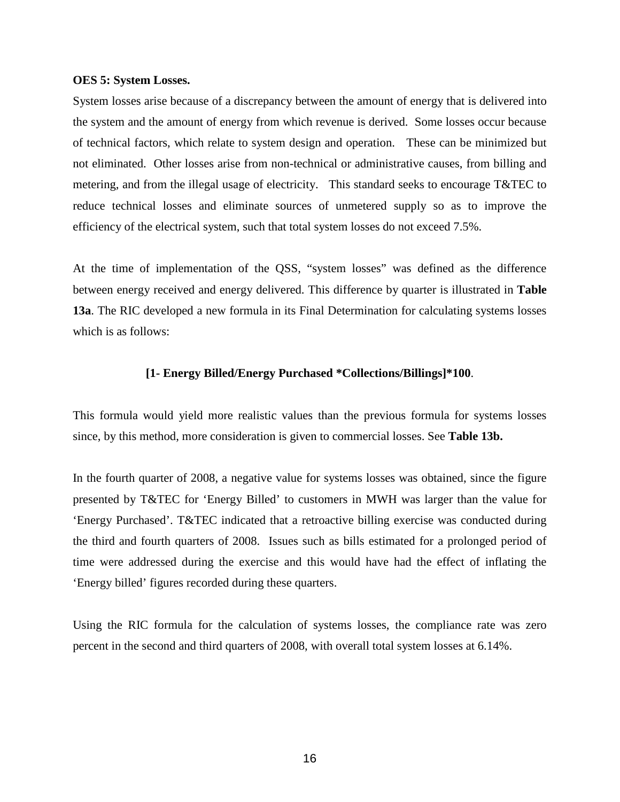#### <span id="page-23-0"></span>**OES 5: System Losses.**

System losses arise because of a discrepancy between the amount of energy that is delivered into the system and the amount of energy from which revenue is derived. Some losses occur because of technical factors, which relate to system design and operation. These can be minimized but not eliminated. Other losses arise from non-technical or administrative causes, from billing and metering, and from the illegal usage of electricity. This standard seeks to encourage T&TEC to reduce technical losses and eliminate sources of unmetered supply so as to improve the efficiency of the electrical system, such that total system losses do not exceed 7.5%.

At the time of implementation of the QSS, "system losses" was defined as the difference between energy received and energy delivered. This difference by quarter is illustrated in **Table 13a**. The RIC developed a new formula in its Final Determination for calculating systems losses which is as follows:

#### **[1- Energy Billed/Energy Purchased \*Collections/Billings]\*100**.

This formula would yield more realistic values than the previous formula for systems losses since, by this method, more consideration is given to commercial losses. See **Table 13b.**

In the fourth quarter of 2008, a negative value for systems losses was obtained, since the figure presented by T&TEC for 'Energy Billed' to customers in MWH was larger than the value for 'Energy Purchased'. T&TEC indicated that a retroactive billing exercise was conducted during the third and fourth quarters of 2008. Issues such as bills estimated for a prolonged period of time were addressed during the exercise and this would have had the effect of inflating the 'Energy billed' figures recorded during these quarters.

Using the RIC formula for the calculation of systems losses, the compliance rate was zero percent in the second and third quarters of 2008, with overall total system losses at 6.14%.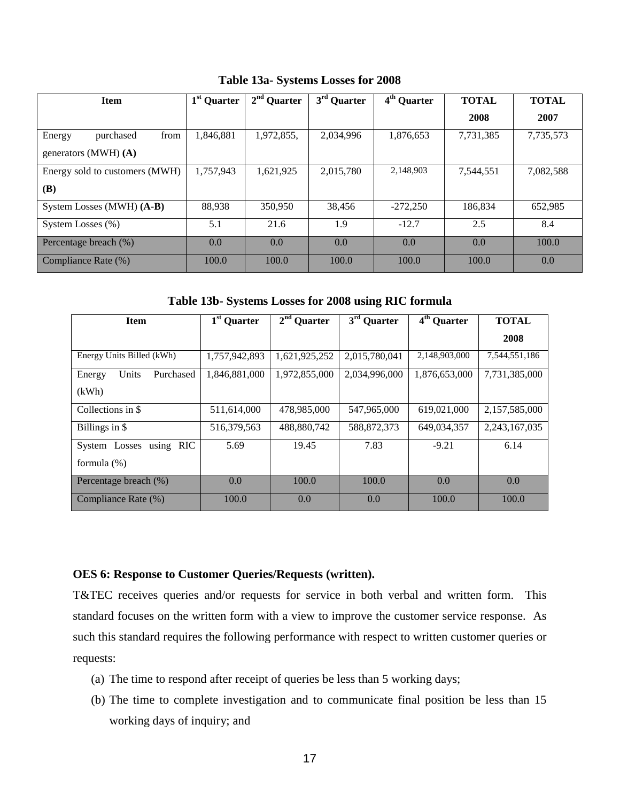<span id="page-24-1"></span>

| <b>Item</b>                    | 1 <sup>st</sup> Quarter | $2nd$ Quarter | 3 <sup>rd</sup> Quarter | 4 <sup>th</sup> Quarter | <b>TOTAL</b> | <b>TOTAL</b> |
|--------------------------------|-------------------------|---------------|-------------------------|-------------------------|--------------|--------------|
|                                |                         |               |                         |                         | 2008         | 2007         |
| purchased<br>from<br>Energy    | 1,846,881               | 1,972,855,    | 2,034,996               | 1,876,653               | 7,731,385    | 7,735,573    |
| generators (MWH) $(A)$         |                         |               |                         |                         |              |              |
| Energy sold to customers (MWH) | 1,757,943               | 1,621,925     | 2,015,780               | 2,148,903               | 7,544,551    | 7,082,588    |
| <b>(B)</b>                     |                         |               |                         |                         |              |              |
| System Losses (MWH) (A-B)      | 88,938                  | 350,950       | 38,456                  | $-272,250$              | 186,834      | 652,985      |
| System Losses (%)              | 5.1                     | 21.6          | 1.9                     | $-12.7$                 | 2.5          | 8.4          |
| Percentage breach (%)          | 0.0                     | 0.0           | 0.0                     | 0.0                     | 0.0          | 100.0        |
| Compliance Rate (%)            | 100.0                   | 100.0         | 100.0                   | 100.0                   | 100.0        | 0.0          |

**Table 13a- Systems Losses for 2008**

**Table 13b- Systems Losses for 2008 using RIC formula**

<span id="page-24-2"></span>

| <b>Item</b>                       | 1 <sup>st</sup> Quarter | $2nd$ Quarter | $3rd$ Quarter | 4 <sup>th</sup> Quarter | <b>TOTAL</b>  |
|-----------------------------------|-------------------------|---------------|---------------|-------------------------|---------------|
|                                   |                         |               |               |                         | 2008          |
| Energy Units Billed (kWh)         | 1,757,942,893           | 1,621,925,252 | 2,015,780,041 | 2,148,903,000           | 7,544,551,186 |
| Units<br>Purchased<br>Energy      | 1,846,881,000           | 1,972,855,000 | 2,034,996,000 | 1,876,653,000           | 7,731,385,000 |
| (kWh)                             |                         |               |               |                         |               |
| Collections in \$                 | 511,614,000             | 478,985,000   | 547,965,000   | 619,021,000             | 2,157,585,000 |
| Billings in \$                    | 516,379,563             | 488,880,742   | 588, 872, 373 | 649.034.357             | 2,243,167,035 |
| <b>RIC</b><br>System Losses using | 5.69                    | 19.45         | 7.83          | $-9.21$                 | 6.14          |
| formula $(\%)$                    |                         |               |               |                         |               |
| Percentage breach (%)             | 0.0                     | 100.0         | 100.0         | 0.0                     | 0.0           |
| Compliance Rate (%)               | 100.0                   | 0.0           | 0.0           | 100.0                   | 100.0         |

### <span id="page-24-0"></span>**OES 6: Response to Customer Queries/Requests (written).**

T&TEC receives queries and/or requests for service in both verbal and written form. This standard focuses on the written form with a view to improve the customer service response. As such this standard requires the following performance with respect to written customer queries or requests:

- (a) The time to respond after receipt of queries be less than 5 working days;
- (b) The time to complete investigation and to communicate final position be less than 15 working days of inquiry; and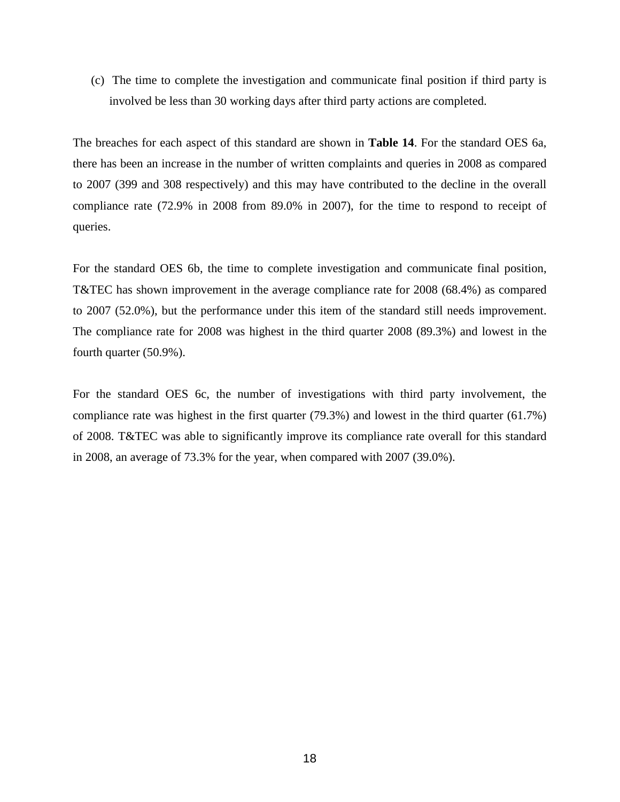(c) The time to complete the investigation and communicate final position if third party is involved be less than 30 working days after third party actions are completed.

The breaches for each aspect of this standard are shown in **Table 14**. For the standard OES 6a, there has been an increase in the number of written complaints and queries in 2008 as compared to 2007 (399 and 308 respectively) and this may have contributed to the decline in the overall compliance rate (72.9% in 2008 from 89.0% in 2007), for the time to respond to receipt of queries.

For the standard OES 6b, the time to complete investigation and communicate final position, T&TEC has shown improvement in the average compliance rate for 2008 (68.4%) as compared to 2007 (52.0%), but the performance under this item of the standard still needs improvement. The compliance rate for 2008 was highest in the third quarter 2008 (89.3%) and lowest in the fourth quarter (50.9%).

For the standard OES 6c, the number of investigations with third party involvement, the compliance rate was highest in the first quarter (79.3%) and lowest in the third quarter (61.7%) of 2008. T&TEC was able to significantly improve its compliance rate overall for this standard in 2008, an average of 73.3% for the year, when compared with 2007 (39.0%).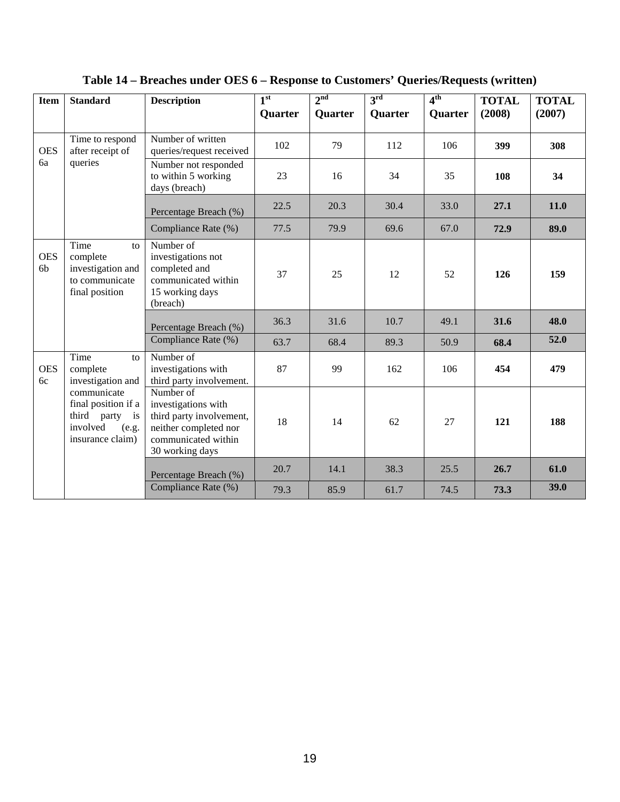| <b>Item</b>                  | <b>Standard</b>                                                                                  | <b>Description</b>                                                                                                              | 1 <sup>st</sup><br><b>Quarter</b> | 2 <sup>nd</sup><br><b>Quarter</b> | $3^{\rm rd}$<br>Quarter | 4 <sup>th</sup><br><b>Quarter</b> | <b>TOTAL</b><br>(2008) | <b>TOTAL</b><br>(2007) |
|------------------------------|--------------------------------------------------------------------------------------------------|---------------------------------------------------------------------------------------------------------------------------------|-----------------------------------|-----------------------------------|-------------------------|-----------------------------------|------------------------|------------------------|
| <b>OES</b>                   | Time to respond<br>after receipt of                                                              | Number of written<br>queries/request received                                                                                   | 102                               | 79                                | 112                     | 106                               | 399                    | 308                    |
|                              | 6a<br>queries                                                                                    | Number not responded<br>to within 5 working<br>days (breach)                                                                    | 23                                | 16                                | 34                      | 35                                | 108                    | 34                     |
|                              |                                                                                                  | Percentage Breach (%)                                                                                                           | 22.5                              | 20.3                              | 30.4                    | 33.0                              | 27.1                   | <b>11.0</b>            |
|                              |                                                                                                  | Compliance Rate (%)                                                                                                             | 77.5                              | 79.9                              | 69.6                    | 67.0                              | 72.9                   | 89.0                   |
| <b>OES</b><br>6 <sub>b</sub> | Time<br>to<br>complete<br>investigation and<br>to communicate<br>final position                  | Number of<br>investigations not<br>completed and<br>communicated within<br>15 working days<br>(breach)                          | 37                                | 25                                | 12                      | 52                                | 126                    | 159                    |
|                              |                                                                                                  | Percentage Breach (%)                                                                                                           | 36.3                              | 31.6                              | 10.7                    | 49.1                              | 31.6                   | 48.0                   |
|                              |                                                                                                  | Compliance Rate (%)                                                                                                             | 63.7                              | 68.4                              | 89.3                    | 50.9                              | 68.4                   | 52.0                   |
| <b>OES</b><br>6c             | Time<br>$\mathbf{t}$<br>complete<br>investigation and                                            | Number of<br>investigations with<br>third party involvement.                                                                    | 87                                | 99                                | 162                     | 106                               | 454                    | 479                    |
|                              | communicate<br>final position if a<br>third party<br>is<br>involved<br>(e.g.<br>insurance claim) | Number of<br>investigations with<br>third party involvement,<br>neither completed nor<br>communicated within<br>30 working days | 18                                | 14                                | 62                      | 27                                | 121                    | 188                    |
|                              |                                                                                                  | Percentage Breach (%)                                                                                                           | 20.7                              | 14.1                              | 38.3                    | 25.5                              | 26.7                   | 61.0                   |
|                              |                                                                                                  | Compliance Rate (%)                                                                                                             | 79.3                              | 85.9                              | 61.7                    | 74.5                              | 73.3                   | 39.0                   |

<span id="page-26-0"></span>**Table 14 – Breaches under OES 6 – Response to Customers' Queries/Requests (written)**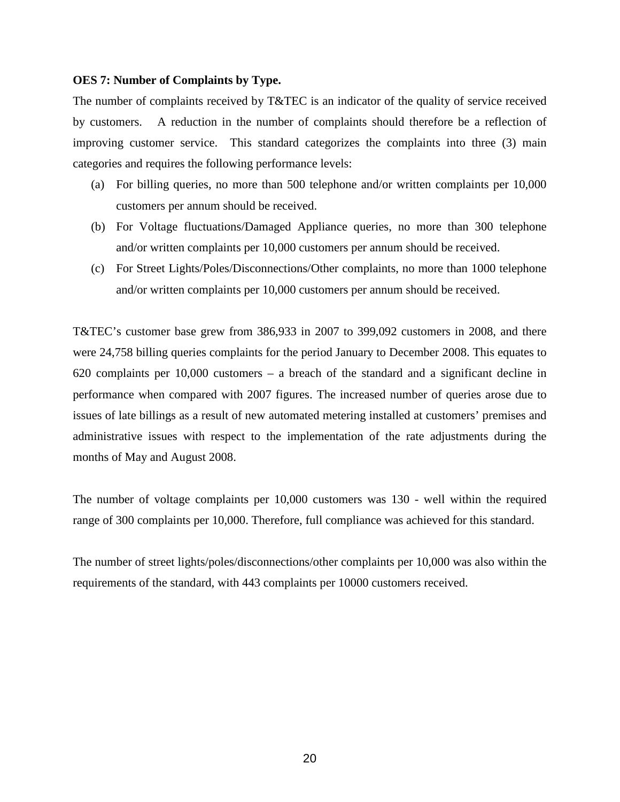#### <span id="page-27-0"></span>**OES 7: Number of Complaints by Type.**

The number of complaints received by T&TEC is an indicator of the quality of service received by customers. A reduction in the number of complaints should therefore be a reflection of improving customer service. This standard categorizes the complaints into three (3) main categories and requires the following performance levels:

- (a) For billing queries, no more than 500 telephone and/or written complaints per 10,000 customers per annum should be received.
- (b) For Voltage fluctuations/Damaged Appliance queries, no more than 300 telephone and/or written complaints per 10,000 customers per annum should be received.
- (c) For Street Lights/Poles/Disconnections/Other complaints, no more than 1000 telephone and/or written complaints per 10,000 customers per annum should be received.

T&TEC's customer base grew from 386,933 in 2007 to 399,092 customers in 2008, and there were 24,758 billing queries complaints for the period January to December 2008. This equates to 620 complaints per 10,000 customers – a breach of the standard and a significant decline in performance when compared with 2007 figures. The increased number of queries arose due to issues of late billings as a result of new automated metering installed at customers' premises and administrative issues with respect to the implementation of the rate adjustments during the months of May and August 2008.

The number of voltage complaints per 10,000 customers was 130 - well within the required range of 300 complaints per 10,000. Therefore, full compliance was achieved for this standard.

The number of street lights/poles/disconnections/other complaints per 10,000 was also within the requirements of the standard, with 443 complaints per 10000 customers received.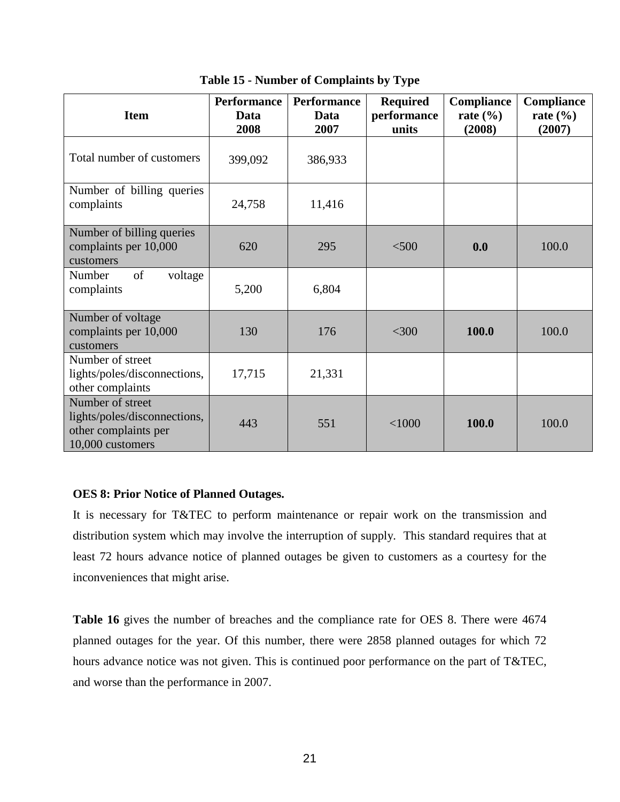<span id="page-28-1"></span>

| <b>Item</b>                                                                                  | <b>Performance</b><br>Data<br>2008 | <b>Performance</b><br>Data<br>2007 | <b>Required</b><br>performance<br>units | Compliance<br>rate $(\% )$<br>(2008) | Compliance<br>rate $(\% )$<br>(2007) |
|----------------------------------------------------------------------------------------------|------------------------------------|------------------------------------|-----------------------------------------|--------------------------------------|--------------------------------------|
| Total number of customers                                                                    | 399,092                            | 386,933                            |                                         |                                      |                                      |
| Number of billing queries<br>complaints                                                      | 24,758                             | 11,416                             |                                         |                                      |                                      |
| Number of billing queries<br>complaints per 10,000<br>customers                              | 620                                | 295                                | < 500                                   | 0.0                                  | 100.0                                |
| of<br>Number<br>voltage<br>complaints                                                        | 5,200                              | 6,804                              |                                         |                                      |                                      |
| Number of voltage<br>complaints per 10,000<br>customers                                      | 130                                | 176                                | $<$ 300                                 | 100.0                                | 100.0                                |
| Number of street<br>lights/poles/disconnections,<br>other complaints                         | 17,715                             | 21,331                             |                                         |                                      |                                      |
| Number of street<br>lights/poles/disconnections,<br>other complaints per<br>10,000 customers | 443                                | 551                                | < 1000                                  | 100.0                                | 100.0                                |

**Table 15 - Number of Complaints by Type**

### <span id="page-28-0"></span>**OES 8: Prior Notice of Planned Outages.**

It is necessary for T&TEC to perform maintenance or repair work on the transmission and distribution system which may involve the interruption of supply. This standard requires that at least 72 hours advance notice of planned outages be given to customers as a courtesy for the inconveniences that might arise.

**Table 16** gives the number of breaches and the compliance rate for OES 8. There were 4674 planned outages for the year. Of this number, there were 2858 planned outages for which 72 hours advance notice was not given. This is continued poor performance on the part of T&TEC, and worse than the performance in 2007.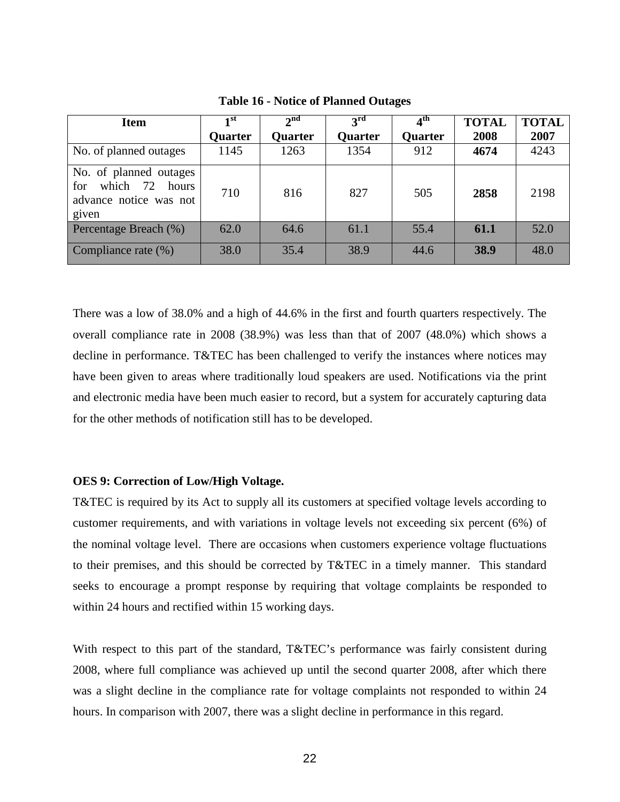<span id="page-29-1"></span>

| <b>Item</b>                                                                        | 1 <sup>st</sup> | $\boldsymbol{\gamma}$ nd | $3^{\rm rd}$   | $\bar{4}^{\rm th}$ | <b>TOTAL</b> | <b>TOTAL</b> |
|------------------------------------------------------------------------------------|-----------------|--------------------------|----------------|--------------------|--------------|--------------|
|                                                                                    | <b>Quarter</b>  | <b>Quarter</b>           | <b>Quarter</b> | <b>Quarter</b>     | 2008         | 2007         |
| No. of planned outages                                                             | 1145            | 1263                     | 1354           | 912                | 4674         | 4243         |
| No. of planned outages<br>which 72 hours<br>for<br>advance notice was not<br>given | 710             | 816                      | 827            | 505                | 2858         | 2198         |
| Percentage Breach (%)                                                              | 62.0            | 64.6                     | 61.1           | 55.4               | 61.1         | 52.0         |
| Compliance rate (%)                                                                | 38.0            | 35.4                     | 38.9           | 44.6               | 38.9         | 48.0         |

**Table 16 - Notice of Planned Outages**

There was a low of 38.0% and a high of 44.6% in the first and fourth quarters respectively. The overall compliance rate in 2008 (38.9%) was less than that of 2007 (48.0%) which shows a decline in performance. T&TEC has been challenged to verify the instances where notices may have been given to areas where traditionally loud speakers are used. Notifications via the print and electronic media have been much easier to record, but a system for accurately capturing data for the other methods of notification still has to be developed.

#### <span id="page-29-0"></span>**OES 9: Correction of Low/High Voltage.**

T&TEC is required by its Act to supply all its customers at specified voltage levels according to customer requirements, and with variations in voltage levels not exceeding six percent (6%) of the nominal voltage level. There are occasions when customers experience voltage fluctuations to their premises, and this should be corrected by T&TEC in a timely manner. This standard seeks to encourage a prompt response by requiring that voltage complaints be responded to within 24 hours and rectified within 15 working days.

With respect to this part of the standard, T&TEC's performance was fairly consistent during 2008, where full compliance was achieved up until the second quarter 2008, after which there was a slight decline in the compliance rate for voltage complaints not responded to within 24 hours. In comparison with 2007, there was a slight decline in performance in this regard.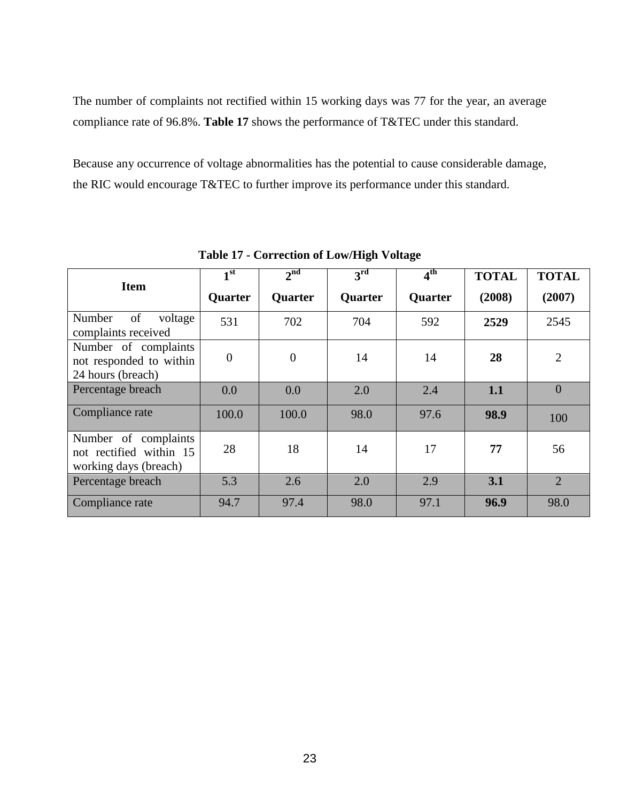The number of complaints not rectified within 15 working days was 77 for the year, an average compliance rate of 96.8%. **Table 17** shows the performance of T&TEC under this standard.

Because any occurrence of voltage abnormalities has the potential to cause considerable damage, the RIC would encourage T&TEC to further improve its performance under this standard.

<span id="page-30-0"></span>

| <b>Item</b>                                                              | 1 <sup>st</sup> | 2 <sup>nd</sup> | 3 <sup>rd</sup> | 4 <sup>th</sup> | <b>TOTAL</b> | <b>TOTAL</b>   |
|--------------------------------------------------------------------------|-----------------|-----------------|-----------------|-----------------|--------------|----------------|
|                                                                          | <b>Quarter</b>  | Quarter         | <b>Quarter</b>  | <b>Quarter</b>  | (2008)       | (2007)         |
| of<br>Number<br>voltage<br>complaints received                           | 531             | 702             | 704             | 592             | 2529         | 2545           |
| Number of complaints<br>not responded to within<br>24 hours (breach)     | $\overline{0}$  | $\mathbf{0}$    | 14              | 14              | 28           | $\overline{2}$ |
| Percentage breach                                                        | 0.0             | 0.0             | 2.0             | 2.4             | 1.1          | $\overline{0}$ |
| Compliance rate                                                          | 100.0           | 100.0           | 98.0            | 97.6            | 98.9         | 100            |
| Number of complaints<br>not rectified within 15<br>working days (breach) | 28              | 18              | 14              | 17              | 77           | 56             |
| Percentage breach                                                        | 5.3             | 2.6             | 2.0             | 2.9             | 3.1          | $\overline{2}$ |
| Compliance rate                                                          | 94.7            | 97.4            | 98.0            | 97.1            | 96.9         | 98.0           |

**Table 17 - Correction of Low/High Voltage**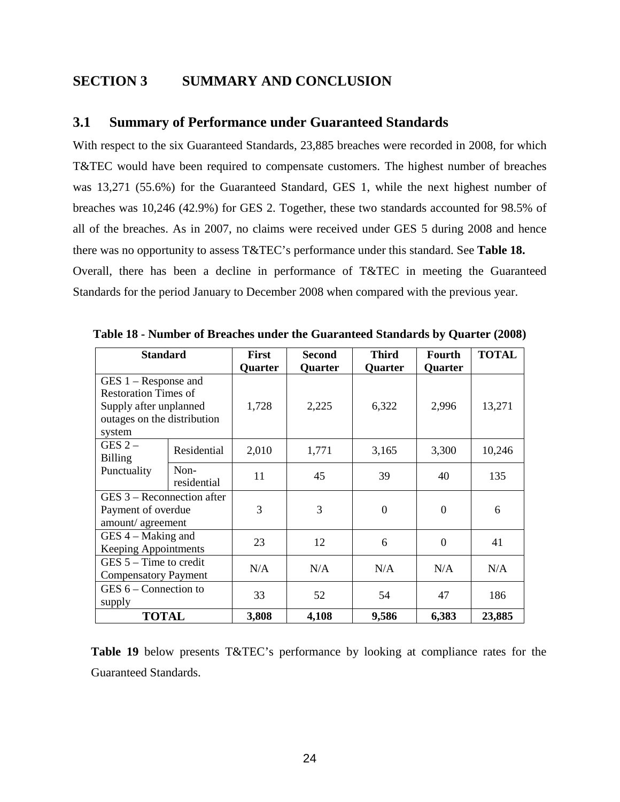### <span id="page-31-0"></span>**SECTION 3 SUMMARY AND CONCLUSION**

### <span id="page-31-1"></span>**3.1 Summary of Performance under Guaranteed Standards**

With respect to the six Guaranteed Standards, 23,885 breaches were recorded in 2008, for which T&TEC would have been required to compensate customers. The highest number of breaches was 13,271 (55.6%) for the Guaranteed Standard, GES 1, while the next highest number of breaches was 10,246 (42.9%) for GES 2. Together, these two standards accounted for 98.5% of all of the breaches. As in 2007, no claims were received under GES 5 during 2008 and hence there was no opportunity to assess T&TEC's performance under this standard. See **Table 18.** Overall, there has been a decline in performance of T&TEC in meeting the Guaranteed Standards for the period January to December 2008 when compared with the previous year.

| <b>Standard</b>             |             | <b>First</b> | <b>Second</b> | <b>Third</b>     | Fourth         | <b>TOTAL</b> |  |
|-----------------------------|-------------|--------------|---------------|------------------|----------------|--------------|--|
|                             |             | Quarter      | Quarter       | Quarter          | Quarter        |              |  |
| $GES 1 - Response$ and      |             |              |               |                  |                |              |  |
| <b>Restoration Times of</b> |             |              |               |                  |                |              |  |
| Supply after unplanned      |             | 1,728        | 2,225         | 6,322            | 2,996          | 13,271       |  |
| outages on the distribution |             |              |               |                  |                |              |  |
| system                      |             |              |               |                  |                |              |  |
| GES $2-$                    | Residential | 2,010        | 1,771         | 3,165            | 3,300          | 10,246       |  |
| <b>Billing</b>              |             |              |               |                  |                |              |  |
| Punctuality                 | Non-        | 11           | 45            | 39               | 40             | 135          |  |
|                             | residential |              |               |                  |                |              |  |
| GES 3 – Reconnection after  |             |              |               |                  |                |              |  |
| Payment of overdue          |             | 3            | 3             | $\boldsymbol{0}$ | $\mathbf{0}$   | 6            |  |
| amount/agreement            |             |              |               |                  |                |              |  |
| GES 4 - Making and          |             | 23           | 12            | 6                | $\overline{0}$ | 41           |  |
| <b>Keeping Appointments</b> |             |              |               |                  |                |              |  |
| $GES$ 5 – Time to credit    |             | N/A          | N/A           | N/A              | N/A            | N/A          |  |
| <b>Compensatory Payment</b> |             |              |               |                  |                |              |  |
| GES $6$ – Connection to     |             | 33           | 52            | 54               | 47             | 186          |  |
| supply                      |             |              |               |                  |                |              |  |
| <b>TOTAL</b>                |             | 3,808        | 4,108         | 9,586            | 6,383          | 23,885       |  |

<span id="page-31-2"></span>**Table 18 - Number of Breaches under the Guaranteed Standards by Quarter (2008)**

**Table 19** below presents T&TEC's performance by looking at compliance rates for the Guaranteed Standards.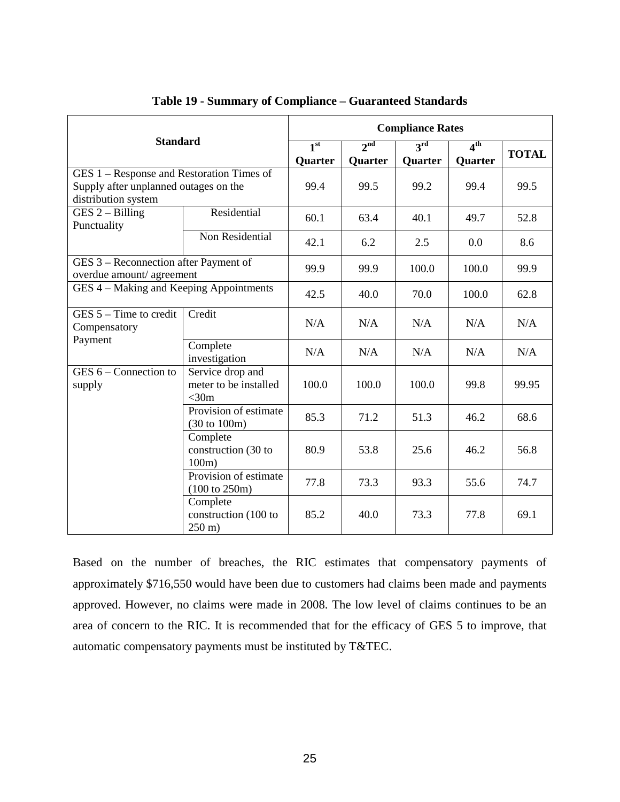<span id="page-32-0"></span>

|                                                                                                           |                                                           | <b>Compliance Rates</b>    |                                   |                            |                            |              |  |  |  |
|-----------------------------------------------------------------------------------------------------------|-----------------------------------------------------------|----------------------------|-----------------------------------|----------------------------|----------------------------|--------------|--|--|--|
| <b>Standard</b>                                                                                           |                                                           | 1 <sup>st</sup><br>Quarter | 2 <sub>nd</sub><br><b>Quarter</b> | 3 <sup>rd</sup><br>Quarter | 4 <sup>th</sup><br>Quarter | <b>TOTAL</b> |  |  |  |
| GES 1 – Response and Restoration Times of<br>Supply after unplanned outages on the<br>distribution system |                                                           | 99.4                       | 99.5                              | 99.2                       | 99.4                       | 99.5         |  |  |  |
| $GES 2 - Billing$<br>Punctuality                                                                          | Residential                                               | 60.1                       | 63.4                              | 40.1                       | 49.7                       | 52.8         |  |  |  |
|                                                                                                           | Non Residential                                           | 42.1                       | 6.2                               | 2.5                        | 0.0                        | 8.6          |  |  |  |
| GES 3 – Reconnection after Payment of<br>overdue amount/ agreement                                        |                                                           | 99.9                       | 99.9                              | 100.0                      | 100.0                      | 99.9         |  |  |  |
| GES 4 - Making and Keeping Appointments                                                                   | 42.5                                                      | 40.0                       | 70.0                              | 100.0                      | 62.8                       |              |  |  |  |
| GES $5 -$ Time to credit<br>Compensatory                                                                  | Credit                                                    | N/A                        | N/A                               | N/A                        | N/A                        | N/A          |  |  |  |
| Payment                                                                                                   | Complete<br>investigation                                 | N/A                        | N/A                               | N/A                        | N/A                        | N/A          |  |  |  |
| $GES 6 -$ Connection to<br>supply                                                                         | Service drop and<br>meter to be installed<br>$<$ 30m      | 100.0                      | 100.0                             | 100.0                      | 99.8                       | 99.95        |  |  |  |
|                                                                                                           | Provision of estimate<br>$(30 \text{ to } 100 \text{m})$  | 85.3                       | 71.2                              | 51.3                       | 46.2                       | 68.6         |  |  |  |
|                                                                                                           | Complete<br>construction (30 to<br>100m                   | 80.9                       | 53.8                              | 25.6                       | 46.2                       | 56.8         |  |  |  |
|                                                                                                           | Provision of estimate<br>$(100 \text{ to } 250 \text{m})$ | 77.8                       | 73.3                              | 93.3                       | 55.6                       | 74.7         |  |  |  |
|                                                                                                           | Complete<br>construction (100 to<br>$250 \text{ m}$ )     | 85.2                       | 40.0                              | 73.3                       | 77.8                       | 69.1         |  |  |  |

### **Table 19 - Summary of Compliance – Guaranteed Standards**

Based on the number of breaches, the RIC estimates that compensatory payments of approximately \$716,550 would have been due to customers had claims been made and payments approved. However, no claims were made in 2008. The low level of claims continues to be an area of concern to the RIC. It is recommended that for the efficacy of GES 5 to improve, that automatic compensatory payments must be instituted by T&TEC.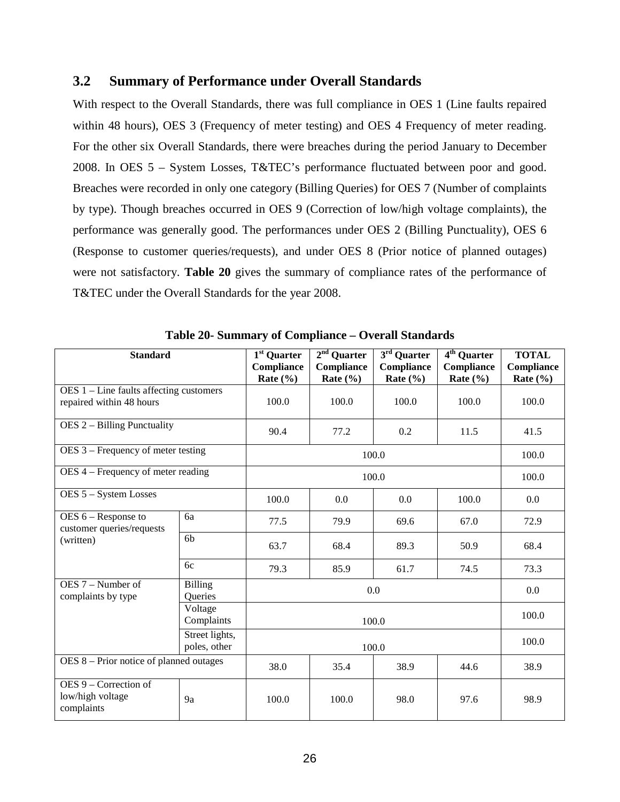### <span id="page-33-0"></span>**3.2 Summary of Performance under Overall Standards**

With respect to the Overall Standards, there was full compliance in OES 1 (Line faults repaired within 48 hours), OES 3 (Frequency of meter testing) and OES 4 Frequency of meter reading. For the other six Overall Standards, there were breaches during the period January to December 2008. In OES 5 – System Losses, T&TEC's performance fluctuated between poor and good. Breaches were recorded in only one category (Billing Queries) for OES 7 (Number of complaints by type). Though breaches occurred in OES 9 (Correction of low/high voltage complaints), the performance was generally good. The performances under OES 2 (Billing Punctuality), OES 6 (Response to customer queries/requests), and under OES 8 (Prior notice of planned outages) were not satisfactory. **Table 20** gives the summary of compliance rates of the performance of T&TEC under the Overall Standards for the year 2008.

<span id="page-33-1"></span>

| <b>Standard</b>                                                       |                                | 1 <sup>st</sup> Quarter<br>Compliance<br>Rate $(\% )$ | $2nd$ Quarter<br>Compliance<br>Rate $(\% )$ | $3rd$ Quarter<br>Compliance<br>Rate $(\% )$ | $\overline{4^{th}}$ Quarter<br>Compliance<br>Rate $(\% )$ | <b>TOTAL</b><br>Compliance<br>Rate $(\% )$ |
|-----------------------------------------------------------------------|--------------------------------|-------------------------------------------------------|---------------------------------------------|---------------------------------------------|-----------------------------------------------------------|--------------------------------------------|
| $OES 1$ – Line faults affecting customers<br>repaired within 48 hours |                                | 100.0                                                 | 100.0<br>100.0                              |                                             | 100.0                                                     | 100.0                                      |
| $OES$ 2 – Billing Punctuality                                         |                                | 90.4                                                  | 77.2                                        | 11.5                                        | 41.5                                                      |                                            |
| OES 3 – Frequency of meter testing                                    |                                |                                                       | 100.0                                       |                                             |                                                           | 100.0                                      |
| OES 4 – Frequency of meter reading                                    |                                |                                                       |                                             | 100.0                                       |                                                           | 100.0                                      |
| OES 5 - System Losses                                                 | 100.0                          | 0.0                                                   | 0.0                                         | 100.0                                       |                                                           |                                            |
| $OES 6 - Response to$<br>customer queries/requests                    | 6a                             | 77.5                                                  | 79.9                                        | 69.6                                        | 67.0                                                      | 72.9                                       |
| (written)                                                             | 6 <sub>b</sub>                 | 63.7                                                  | 68.4                                        | 89.3                                        | 50.9                                                      | 68.4                                       |
|                                                                       | 6c                             | 79.3                                                  | 85.9                                        | 61.7                                        | 74.5                                                      | 73.3                                       |
| OES 7 - Number of<br>complaints by type                               | <b>Billing</b><br>Queries      |                                                       | 0.0                                         |                                             |                                                           |                                            |
|                                                                       | Voltage<br>Complaints          |                                                       | 100.0                                       |                                             |                                                           |                                            |
|                                                                       | Street lights,<br>poles, other |                                                       | 100.0                                       |                                             |                                                           |                                            |
| OES 8 – Prior notice of planned outages                               |                                | 38.0                                                  | 35.4                                        | 38.9                                        | 44.6                                                      | 38.9                                       |
| OES 9 – Correction of<br>low/high voltage<br>complaints               | 9a                             | 100.0                                                 | 100.0                                       | 98.0                                        | 97.6                                                      | 98.9                                       |

**Table 20- Summary of Compliance – Overall Standards**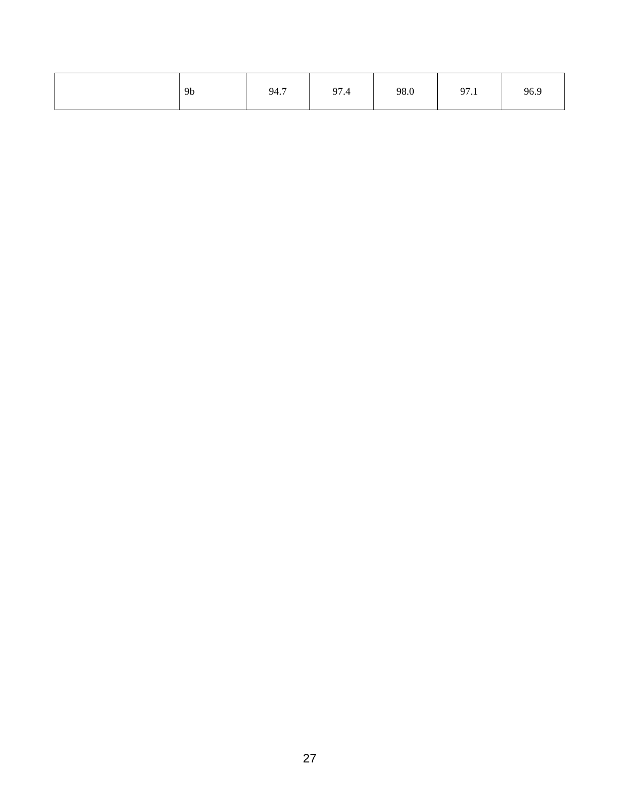| 9 <sub>b</sub> | 94.7 | 97.4 | 98.0 | 97.1 | 96.9 |
|----------------|------|------|------|------|------|
|----------------|------|------|------|------|------|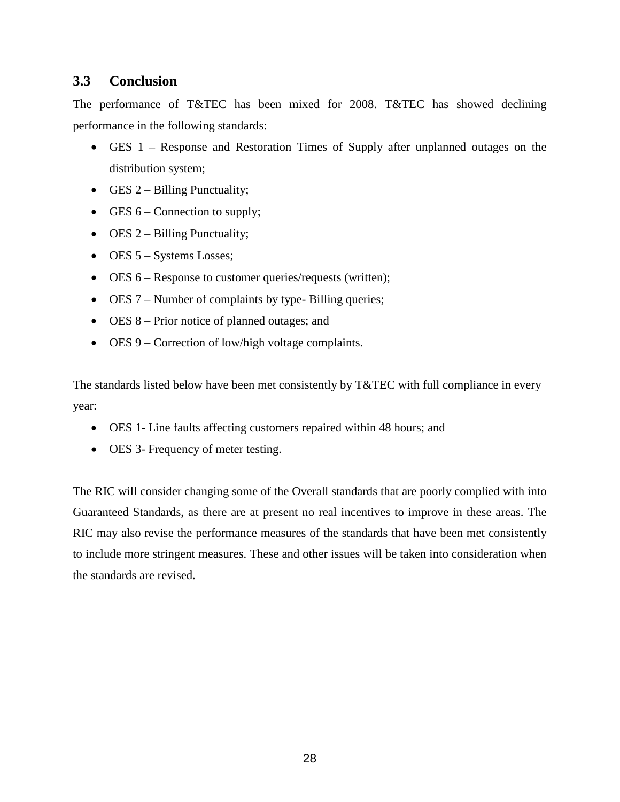# <span id="page-35-0"></span>**3.3 Conclusion**

The performance of T&TEC has been mixed for 2008. T&TEC has showed declining performance in the following standards:

- GES 1 Response and Restoration Times of Supply after unplanned outages on the distribution system;
- GES  $2$  Billing Punctuality;
- GES  $6$  Connection to supply;
- OES  $2 -$  Billing Punctuality;
- OES 5 Systems Losses;
- OES 6 Response to customer queries/requests (written);
- OES 7 Number of complaints by type- Billing queries;
- OES 8 Prior notice of planned outages; and
- OES 9 Correction of low/high voltage complaints.

The standards listed below have been met consistently by T&TEC with full compliance in every year:

- OES 1- Line faults affecting customers repaired within 48 hours; and
- OES 3- Frequency of meter testing.

<span id="page-35-1"></span>The RIC will consider changing some of the Overall standards that are poorly complied with into Guaranteed Standards, as there are at present no real incentives to improve in these areas. The RIC may also revise the performance measures of the standards that have been met consistently to include more stringent measures. These and other issues will be taken into consideration when the standards are revised.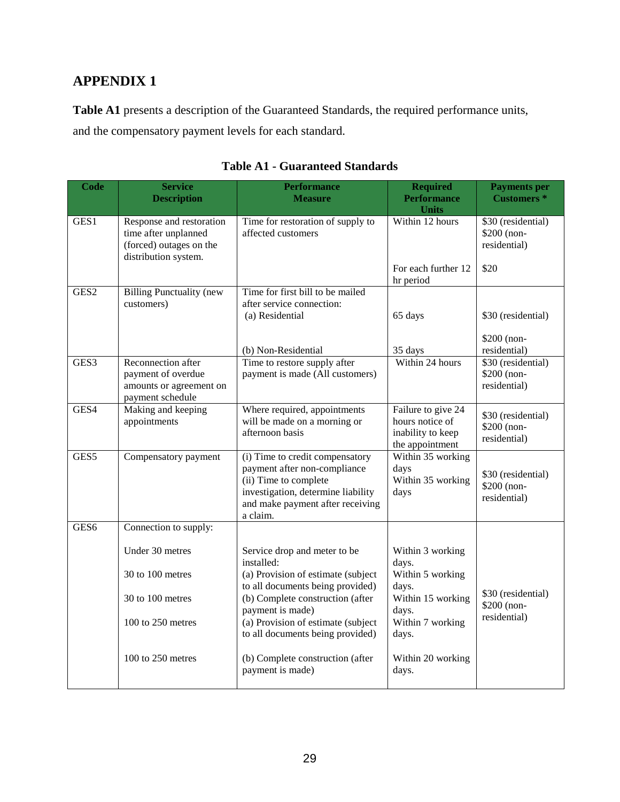# **APPENDIX 1**

**Table A1** presents a description of the Guaranteed Standards, the required performance units, and the compensatory payment levels for each standard.

<span id="page-36-0"></span>

| <b>Code</b>      | <b>Service</b><br><b>Description</b>                                                                | <b>Performance</b><br><b>Measure</b>                                                                                                                                           | <b>Required</b><br><b>Performance</b><br><b>Units</b>                         | <b>Payments</b> per<br><b>Customers</b> *         |
|------------------|-----------------------------------------------------------------------------------------------------|--------------------------------------------------------------------------------------------------------------------------------------------------------------------------------|-------------------------------------------------------------------------------|---------------------------------------------------|
| GES1             | Response and restoration<br>time after unplanned<br>(forced) outages on the<br>distribution system. | Time for restoration of supply to<br>affected customers                                                                                                                        | Within 12 hours                                                               | \$30 (residential)<br>\$200 (non-<br>residential) |
|                  |                                                                                                     |                                                                                                                                                                                | For each further 12<br>hr period                                              | \$20                                              |
| GES <sub>2</sub> | <b>Billing Punctuality (new</b><br>customers)                                                       | Time for first bill to be mailed<br>after service connection:<br>(a) Residential                                                                                               | 65 days                                                                       | \$30 (residential)                                |
|                  |                                                                                                     | (b) Non-Residential                                                                                                                                                            | 35 days                                                                       | \$200 (non-<br>residential)                       |
| GES3             | Reconnection after<br>payment of overdue<br>amounts or agreement on<br>payment schedule             | Time to restore supply after<br>payment is made (All customers)                                                                                                                | Within 24 hours                                                               | \$30 (residential)<br>\$200 (non-<br>residential) |
| GES4             | Making and keeping<br>appointments                                                                  | Where required, appointments<br>will be made on a morning or<br>afternoon basis                                                                                                | Failure to give 24<br>hours notice of<br>inability to keep<br>the appointment | \$30 (residential)<br>\$200 (non-<br>residential) |
| GES5             | Compensatory payment                                                                                | (i) Time to credit compensatory<br>payment after non-compliance<br>(ii) Time to complete<br>investigation, determine liability<br>and make payment after receiving<br>a claim. | Within 35 working<br>days<br>Within 35 working<br>days                        | \$30 (residential)<br>\$200 (non-<br>residential) |
| GES <sub>6</sub> | Connection to supply:                                                                               |                                                                                                                                                                                |                                                                               |                                                   |
|                  | Under 30 metres<br>30 to 100 metres                                                                 | Service drop and meter to be<br>installed:<br>(a) Provision of estimate (subject<br>to all documents being provided)                                                           | Within 3 working<br>days.<br>Within 5 working<br>days.                        |                                                   |
|                  | 30 to 100 metres                                                                                    | (b) Complete construction (after<br>payment is made)                                                                                                                           | Within 15 working<br>days.                                                    | \$30 (residential)<br>\$200 (non-<br>residential) |
|                  | 100 to 250 metres                                                                                   | (a) Provision of estimate (subject<br>to all documents being provided)                                                                                                         | Within 7 working<br>days.                                                     |                                                   |
|                  | 100 to 250 metres                                                                                   | (b) Complete construction (after<br>payment is made)                                                                                                                           | Within 20 working<br>days.                                                    |                                                   |

# **Table A1 - Guaranteed Standards**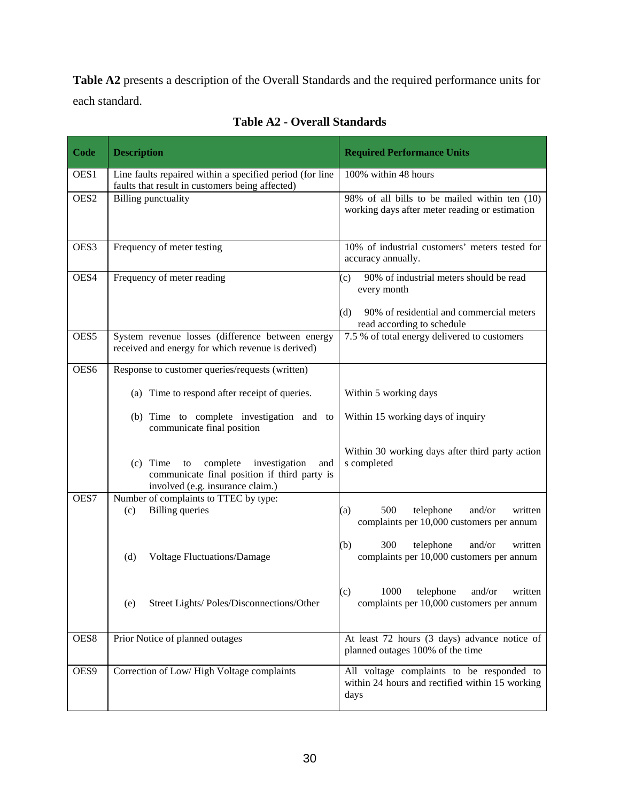**Table A2** presents a description of the Overall Standards and the required performance units for each standard.

<span id="page-37-0"></span>

| Code             | <b>Description</b>                                                                                                                       | <b>Required Performance Units</b>                                                                                                              |
|------------------|------------------------------------------------------------------------------------------------------------------------------------------|------------------------------------------------------------------------------------------------------------------------------------------------|
| OES1             | Line faults repaired within a specified period (for line<br>faults that result in customers being affected)                              | 100% within 48 hours                                                                                                                           |
| OES <sub>2</sub> | <b>Billing punctuality</b>                                                                                                               | 98% of all bills to be mailed within ten (10)<br>working days after meter reading or estimation                                                |
| OES3             | Frequency of meter testing                                                                                                               | 10% of industrial customers' meters tested for<br>accuracy annually.                                                                           |
| OES4             | Frequency of meter reading                                                                                                               | 90% of industrial meters should be read<br>(c)<br>every month<br>90% of residential and commercial meters<br>(d)<br>read according to schedule |
| OES5             | System revenue losses (difference between energy<br>received and energy for which revenue is derived)                                    | 7.5 % of total energy delivered to customers                                                                                                   |
| OES6             | Response to customer queries/requests (written)                                                                                          |                                                                                                                                                |
|                  | (a) Time to respond after receipt of queries.                                                                                            | Within 5 working days                                                                                                                          |
|                  | (b) Time to complete investigation and to<br>communicate final position                                                                  | Within 15 working days of inquiry                                                                                                              |
|                  | $(c)$ Time<br>complete<br>investigation<br>to<br>and<br>communicate final position if third party is<br>involved (e.g. insurance claim.) | Within 30 working days after third party action<br>s completed                                                                                 |
| OES7             | Number of complaints to TTEC by type:<br><b>Billing</b> queries<br>(c)                                                                   | 500<br>telephone<br>and/or<br>written<br>(a)<br>complaints per 10,000 customers per annum                                                      |
|                  | <b>Voltage Fluctuations/Damage</b><br>(d)                                                                                                | 300<br>(b)<br>telephone<br>and/or<br>written<br>complaints per 10,000 customers per annum                                                      |
|                  | Street Lights/Poles/Disconnections/Other<br>(e)                                                                                          | (c)<br>1000 telephone and/or written<br>complaints per 10,000 customers per annum                                                              |
| OES8             | Prior Notice of planned outages                                                                                                          | At least 72 hours (3 days) advance notice of<br>planned outages 100% of the time                                                               |
| OES9             | Correction of Low/High Voltage complaints                                                                                                | All voltage complaints to be responded to<br>within 24 hours and rectified within 15 working<br>days                                           |

**Table A2 - Overall Standards**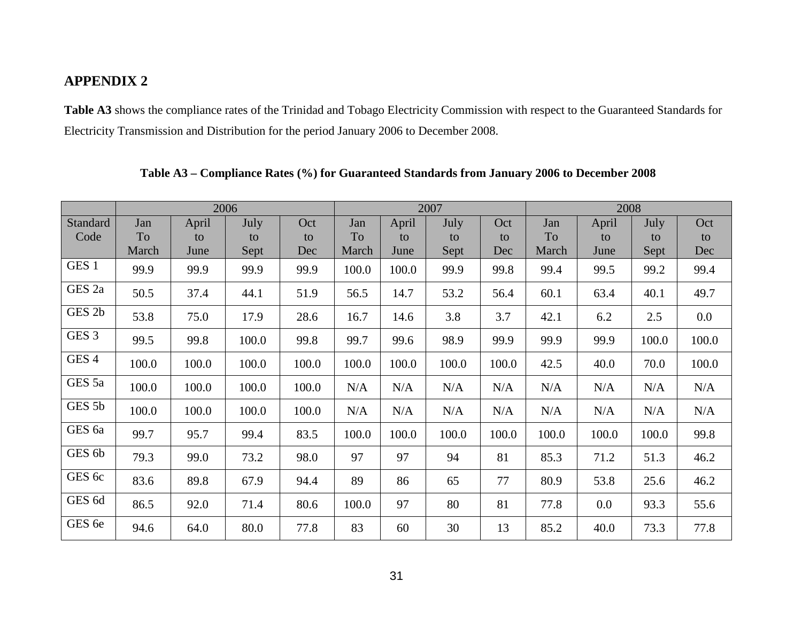# **APPENDIX 2**

**Table A3** shows the compliance rates of the Trinidad and Tobago Electricity Commission with respect to the Guaranteed Standards for Electricity Transmission and Distribution for the period January 2006 to December 2008.

<span id="page-38-1"></span><span id="page-38-0"></span>

|                   |       | 2006  |       |       |       | 2007  |       |       |       | 2008  |       |         |  |
|-------------------|-------|-------|-------|-------|-------|-------|-------|-------|-------|-------|-------|---------|--|
| Standard          | Jan   | April | July  | Oct   | Jan   | April | July  | Oct   | Jan   | April | July  | Oct     |  |
| Code              | To    | to    | to    | to    | To    | to    | to    | to    | To    | to    | to    | to      |  |
|                   | March | June  | Sept  | Dec   | March | June  | Sept  | Dec   | March | June  | Sept  | Dec     |  |
| GES <sub>1</sub>  | 99.9  | 99.9  | 99.9  | 99.9  | 100.0 | 100.0 | 99.9  | 99.8  | 99.4  | 99.5  | 99.2  | 99.4    |  |
| GES 2a            | 50.5  | 37.4  | 44.1  | 51.9  | 56.5  | 14.7  | 53.2  | 56.4  | 60.1  | 63.4  | 40.1  | 49.7    |  |
| GES 2b            | 53.8  | 75.0  | 17.9  | 28.6  | 16.7  | 14.6  | 3.8   | 3.7   | 42.1  | 6.2   | 2.5   | $0.0\,$ |  |
| GES <sub>3</sub>  | 99.5  | 99.8  | 100.0 | 99.8  | 99.7  | 99.6  | 98.9  | 99.9  | 99.9  | 99.9  | 100.0 | 100.0   |  |
| GES <sub>4</sub>  | 100.0 | 100.0 | 100.0 | 100.0 | 100.0 | 100.0 | 100.0 | 100.0 | 42.5  | 40.0  | 70.0  | 100.0   |  |
| GES 5a            | 100.0 | 100.0 | 100.0 | 100.0 | N/A   | N/A   | N/A   | N/A   | N/A   | N/A   | N/A   | N/A     |  |
| GES 5b            | 100.0 | 100.0 | 100.0 | 100.0 | N/A   | N/A   | N/A   | N/A   | N/A   | N/A   | N/A   | N/A     |  |
| GES <sub>6a</sub> | 99.7  | 95.7  | 99.4  | 83.5  | 100.0 | 100.0 | 100.0 | 100.0 | 100.0 | 100.0 | 100.0 | 99.8    |  |
| GES 6b            | 79.3  | 99.0  | 73.2  | 98.0  | 97    | 97    | 94    | 81    | 85.3  | 71.2  | 51.3  | 46.2    |  |
| GES 6c            | 83.6  | 89.8  | 67.9  | 94.4  | 89    | 86    | 65    | 77    | 80.9  | 53.8  | 25.6  | 46.2    |  |
| GES 6d            | 86.5  | 92.0  | 71.4  | 80.6  | 100.0 | 97    | 80    | 81    | 77.8  | 0.0   | 93.3  | 55.6    |  |
| GES 6e            | 94.6  | 64.0  | 80.0  | 77.8  | 83    | 60    | 30    | 13    | 85.2  | 40.0  | 73.3  | 77.8    |  |

**Table A3 – Compliance Rates (%) for Guaranteed Standards from January 2006 to December 2008**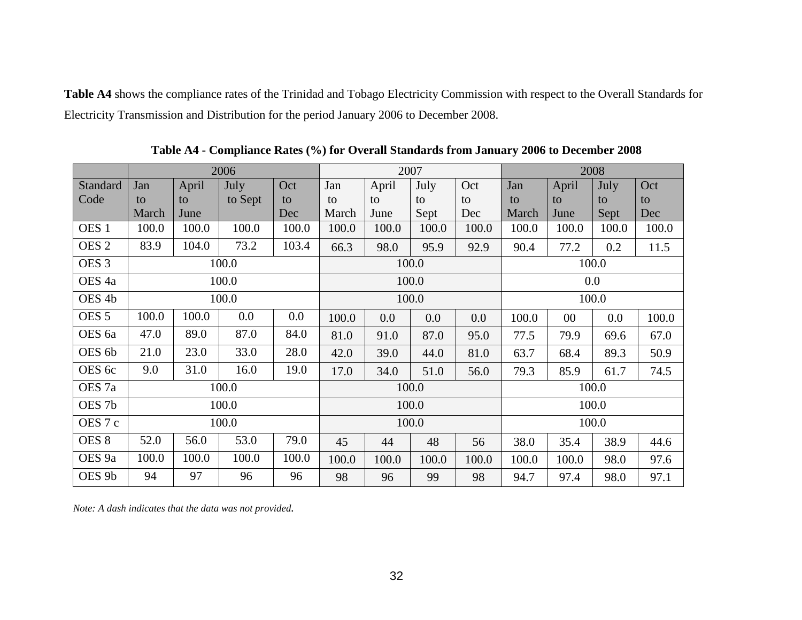**Table A4** shows the compliance rates of the Trinidad and Tobago Electricity Commission with respect to the Overall Standards for Electricity Transmission and Distribution for the period January 2006 to December 2008.

<span id="page-39-0"></span>

|                   |       |       | 2006    |       | 2007<br>2008 |       |       |       |         |        |       |       |
|-------------------|-------|-------|---------|-------|--------------|-------|-------|-------|---------|--------|-------|-------|
| Standard          | Jan   | April | July    | Oct   | Jan          | April | July  | Oct   | Jan     | April  | July  | Oct   |
| Code              | to    | to    | to Sept | to    | to           | to    | to    | to    | to      | to     | to    | to    |
|                   | March | June  |         | Dec   | March        | June  | Sept  | Dec   | March   | June   | Sept  | Dec   |
| OES <sub>1</sub>  | 100.0 | 100.0 | 100.0   | 100.0 | 100.0        | 100.0 | 100.0 | 100.0 | 100.0   | 100.0  | 100.0 | 100.0 |
| OES <sub>2</sub>  | 83.9  | 104.0 | 73.2    | 103.4 | 66.3         | 98.0  | 95.9  | 92.9  | 90.4    | 77.2   | 0.2   | 11.5  |
| OES <sub>3</sub>  |       |       | 100.0   |       |              |       | 100.0 |       |         |        | 100.0 |       |
| OES <sub>4a</sub> | 100.0 |       |         |       | 100.0        |       |       |       | $0.0\,$ |        |       |       |
| OES <sub>4b</sub> |       |       | 100.0   |       | 100.0        |       |       | 100.0 |         |        |       |       |
| OES <sub>5</sub>  | 100.0 | 100.0 | 0.0     | 0.0   | 100.0        | 0.0   | 0.0   | 0.0   | 100.0   | $00\,$ | 0.0   | 100.0 |
| OES <sub>6a</sub> | 47.0  | 89.0  | 87.0    | 84.0  | 81.0         | 91.0  | 87.0  | 95.0  | 77.5    | 79.9   | 69.6  | 67.0  |
| OES 6b            | 21.0  | 23.0  | 33.0    | 28.0  | 42.0         | 39.0  | 44.0  | 81.0  | 63.7    | 68.4   | 89.3  | 50.9  |
| OES 6c            | 9.0   | 31.0  | 16.0    | 19.0  | 17.0         | 34.0  | 51.0  | 56.0  | 79.3    | 85.9   | 61.7  | 74.5  |
| OES <sub>7a</sub> | 100.0 |       |         |       | 100.0        |       |       |       |         |        | 100.0 |       |
| OES <sub>7b</sub> |       |       | 100.0   |       |              | 100.0 |       |       | 100.0   |        |       |       |
| OES <sub>7c</sub> | 100.0 |       |         |       |              | 100.0 |       |       | 100.0   |        |       |       |
| OES <sub>8</sub>  | 52.0  | 56.0  | 53.0    | 79.0  | 45           | 44    | 48    | 56    | 38.0    | 35.4   | 38.9  | 44.6  |
| OES <sub>9a</sub> | 100.0 | 100.0 | 100.0   | 100.0 | 100.0        | 100.0 | 100.0 | 100.0 | 100.0   | 100.0  | 98.0  | 97.6  |
| OES <sub>9b</sub> | 94    | 97    | 96      | 96    | 98           | 96    | 99    | 98    | 94.7    | 97.4   | 98.0  | 97.1  |

**Table A4 - Compliance Rates (%) for Overall Standards from January 2006 to December 2008**

*Note: A dash indicates that the data was not provided.*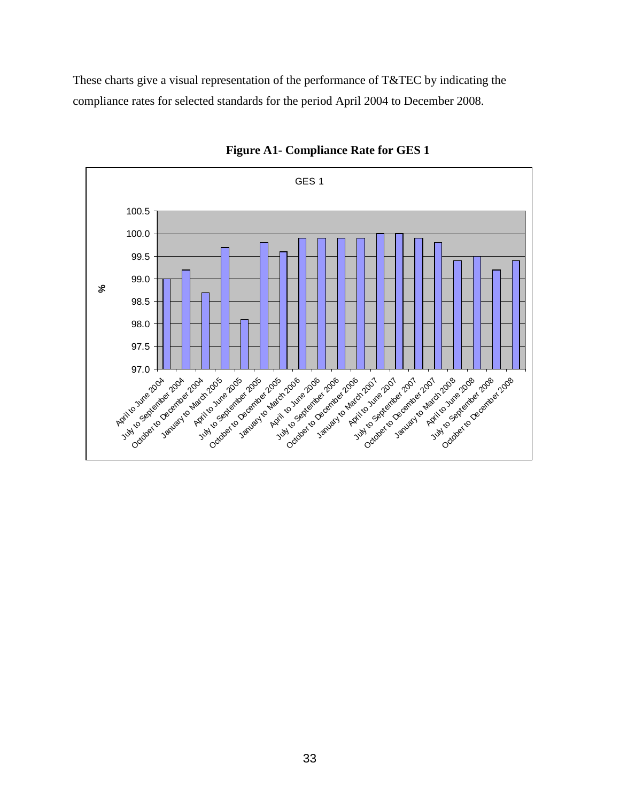These charts give a visual representation of the performance of T&TEC by indicating the compliance rates for selected standards for the period April 2004 to December 2008.



**Figure A1- Compliance Rate for GES 1**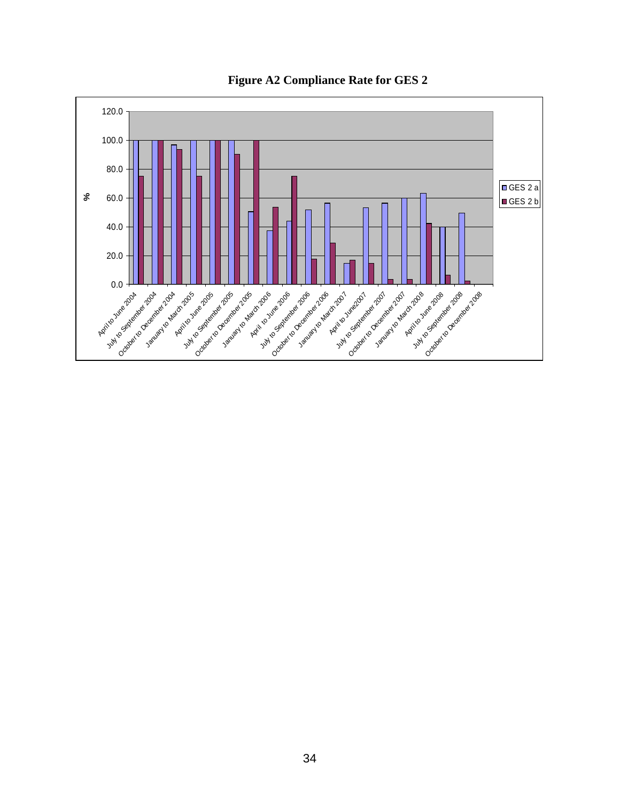**Figure A2 Compliance Rate for GES 2**

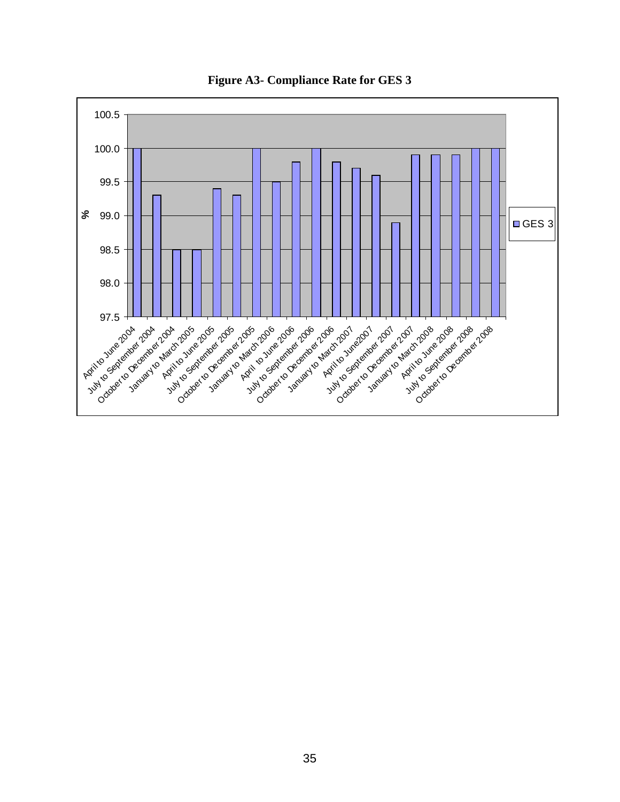

**Figure A3- Compliance Rate for GES 3**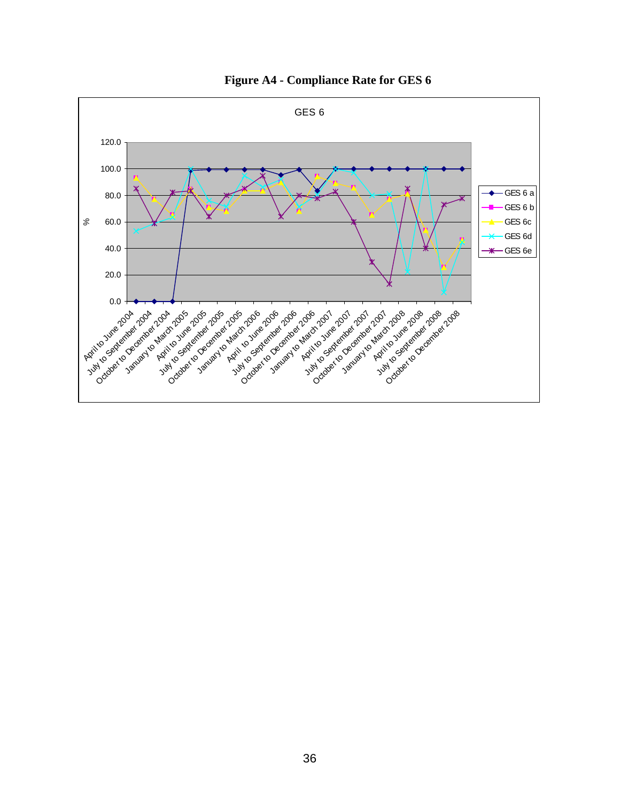

**Figure A4 - Compliance Rate for GES 6**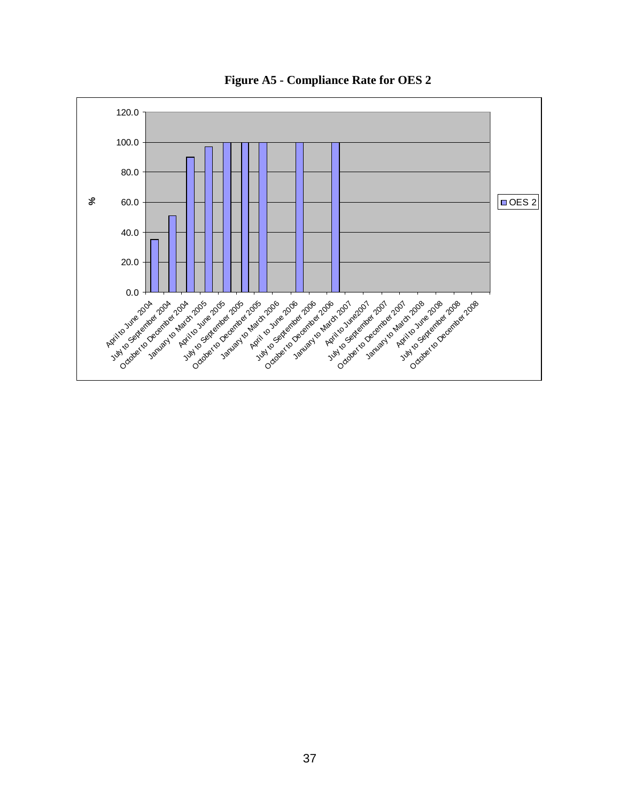**Figure A5 - Compliance Rate for OES 2**

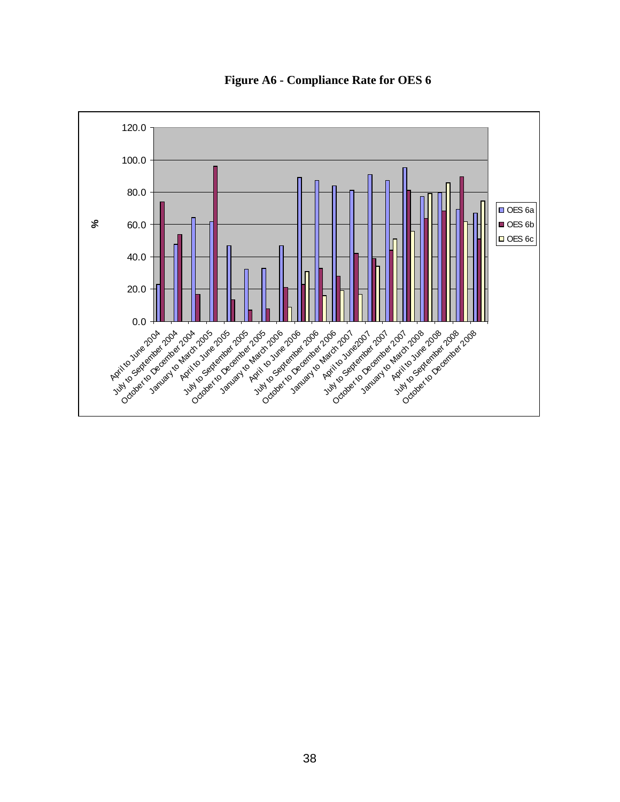

**Figure A6 - Compliance Rate for OES 6**